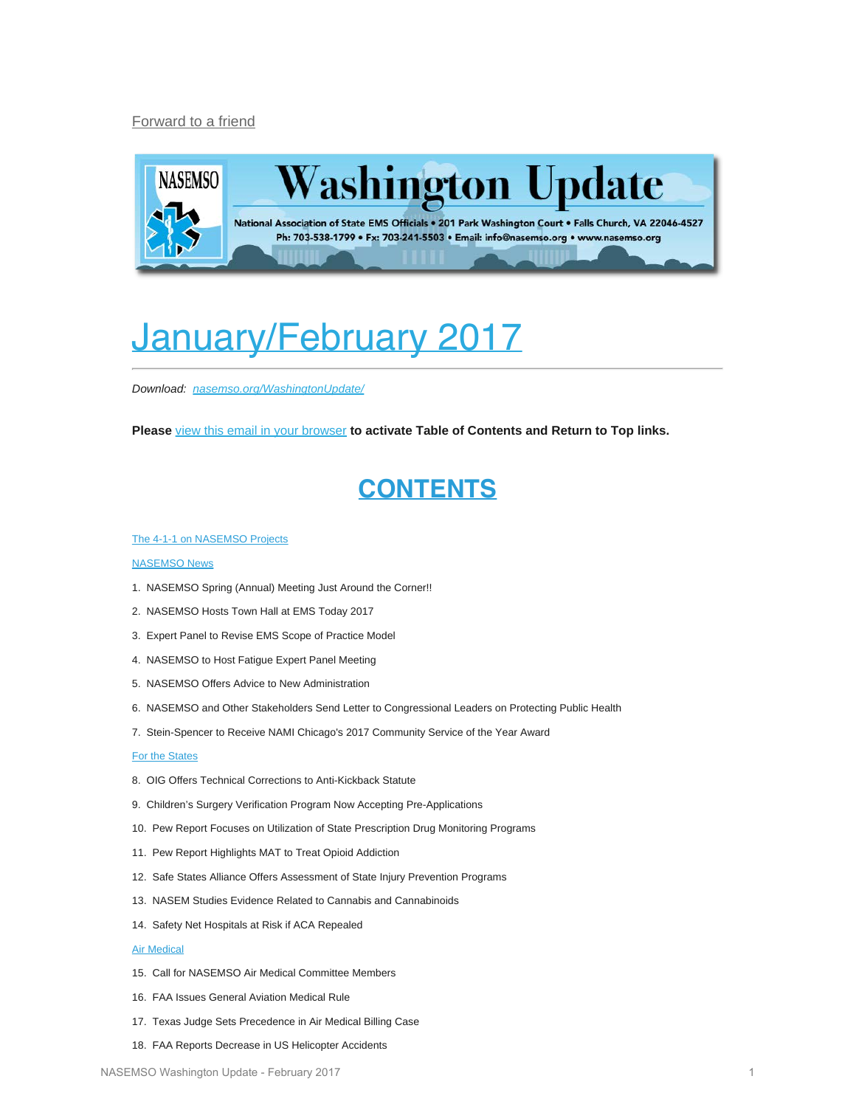### <span id="page-0-0"></span>[Forward to a friend](http://us13.forward-to-friend1.com/forward?u=bdaf9a0cf267d423437d7b149&id=b7ffdfecb2&e=f468e5f7f6)



# <span id="page-0-1"></span>January/February 2017

*Download: [nasemso.org/WashingtonUpdate/](http://www.nasemso.org/WashingtonUpdate/)*

**Please** [view this email in your browser](#page-0-0) **to activate Table of Contents and Return to Top links.**

## **CONTENTS**

#### [The 4-1-1 on NASEMSO Projects](#page-2-0)

#### [NASEMSO News](#page-3-0)

- 1. NASEMSO Spring (Annual) Meeting Just Around the Corner!!
- 2. NASEMSO Hosts Town Hall at EMS Today 2017
- 3. Expert Panel to Revise EMS Scope of Practice Model
- 4. NASEMSO to Host Fatigue Expert Panel Meeting
- 5. NASEMSO Offers Advice to New Administration
- 6. NASEMSO and Other Stakeholders Send Letter to Congressional Leaders on Protecting Public Health
- 7. Stein-Spencer to Receive NAMI Chicago's 2017 Community Service of the Year Award

### [For the States](#page-6-0)

- 8. OIG Offers Technical Corrections to Anti-Kickback Statute
- 9. Children's Surgery Verification Program Now Accepting Pre-Applications
- 10. Pew Report Focuses on Utilization of State Prescription Drug Monitoring Programs
- 11. Pew Report Highlights MAT to Treat Opioid Addiction
- 12. Safe States Alliance Offers Assessment of State Injury Prevention Programs
- 13. NASEM Studies Evidence Related to Cannabis and Cannabinoids
- 14. Safety Net Hospitals at Risk if ACA Repealed

### [Air Medical](#page-9-0)

- 15. Call for NASEMSO Air Medical Committee Members
- 16. FAA Issues General Aviation Medical Rule
- 17. Texas Judge Sets Precedence in Air Medical Billing Case
- 18. FAA Reports Decrease in US Helicopter Accidents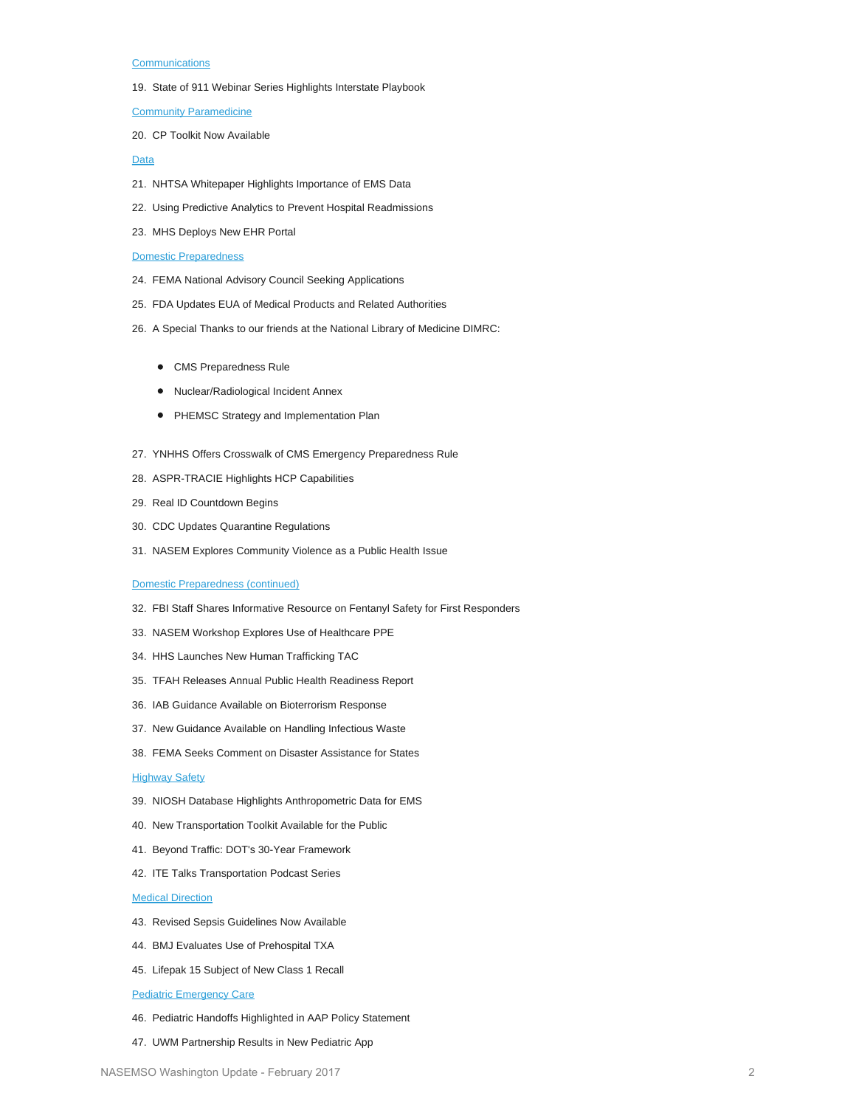#### **[Communications](#page-10-0)**

19. State of 911 Webinar Series Highlights Interstate Playbook

[Community Paramedicine](#page-11-0)

20. CP Toolkit Now Available

### [Data](#page-11-1)

- 21. NHTSA Whitepaper Highlights Importance of EMS Data
- 22. Using Predictive Analytics to Prevent Hospital Readmissions
- 23. MHS Deploys New EHR Portal

#### [Domestic Preparedness](#page-13-0)

- 24. FEMA National Advisory Council Seeking Applications
- 25. FDA Updates EUA of Medical Products and Related Authorities
- 26. A Special Thanks to our friends at the National Library of Medicine DIMRC:
	- CMS Preparedness Rule
	- Nuclear/Radiological Incident Annex
	- PHEMSC Strategy and Implementation Plan
- 27. YNHHS Offers Crosswalk of CMS Emergency Preparedness Rule
- 28. ASPR-TRACIE Highlights HCP Capabilities
- 29. Real ID Countdown Begins
- 30. CDC Updates Quarantine Regulations
- 31. NASEM Explores Community Violence as a Public Health Issue

#### [Domestic Preparedness \(continued\)](#page-13-0)

- 32. FBI Staff Shares Informative Resource on Fentanyl Safety for First Responders
- 33. NASEM Workshop Explores Use of Healthcare PPE
- 34. HHS Launches New Human Trafficking TAC
- 35. TFAH Releases Annual Public Health Readiness Report
- 36. IAB Guidance Available on Bioterrorism Response
- 37. New Guidance Available on Handling Infectious Waste
- 38. FEMA Seeks Comment on Disaster Assistance for States

### **[Highway Safety](#page-18-0)**

- 39. NIOSH Database Highlights Anthropometric Data for EMS
- 40. New Transportation Toolkit Available for the Public
- 41. Beyond Traffic: DOT's 30-Year Framework
- 42. ITE Talks Transportation Podcast Series

### **[Medical Direction](#page-20-0)**

- 43. Revised Sepsis Guidelines Now Available
- 44. BMJ Evaluates Use of Prehospital TXA
- 45. Lifepak 15 Subject of New Class 1 Recall

#### **[Pediatric Emergency Care](#page-21-0)**

- 46. Pediatric Handoffs Highlighted in AAP Policy Statement
- 47. UWM Partnership Results in New Pediatric App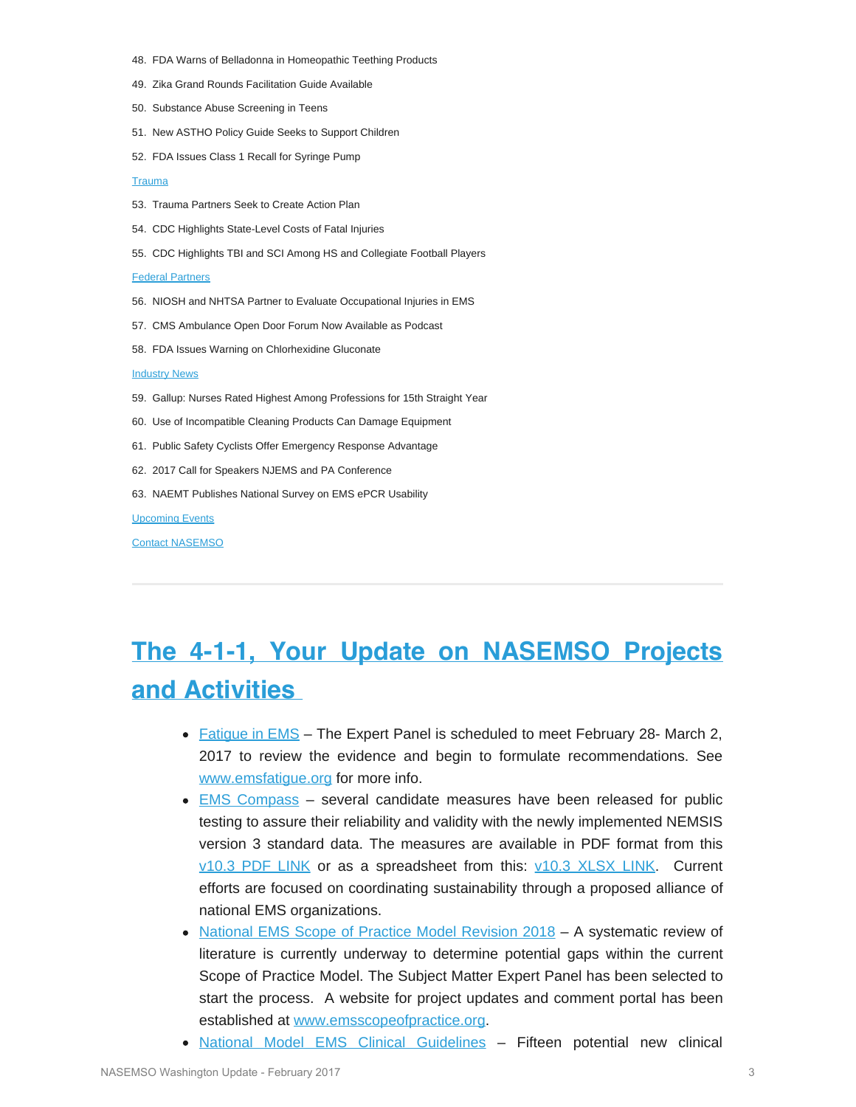- 48. FDA Warns of Belladonna in Homeopathic Teething Products
- 49. Zika Grand Rounds Facilitation Guide Available
- 50. Substance Abuse Screening in Teens
- 51. New ASTHO Policy Guide Seeks to Support Children
- 52. FDA Issues Class 1 Recall for Syringe Pump

### **[Trauma](#page-23-0)**

- 53. Trauma Partners Seek to Create Action Plan
- 54. CDC Highlights State-Level Costs of Fatal Injuries
- 55. CDC Highlights TBI and SCI Among HS and Collegiate Football Players

#### [Federal Partners](#page-25-0)

- 56. NIOSH and NHTSA Partner to Evaluate Occupational Injuries in EMS
- 57. CMS Ambulance Open Door Forum Now Available as Podcast
- 58. FDA Issues Warning on Chlorhexidine Gluconate

#### **[Industry News](#page-26-0)**

- 59. Gallup: Nurses Rated Highest Among Professions for 15th Straight Year
- 60. Use of Incompatible Cleaning Products Can Damage Equipment
- 61. Public Safety Cyclists Offer Emergency Response Advantage
- 62. 2017 Call for Speakers NJEMS and PA Conference
- 63. NAEMT Publishes National Survey on EMS ePCR Usability

#### **[Upcoming Events](#page-28-0)**

[Contact NASEMSO](#page-30-0)

## <span id="page-2-0"></span>**The 4-1-1, Your Update on NASEMSO Projects and Activities**

- [Fatigue in EMS](http://www.emsfatigue.org/) The Expert Panel is scheduled to meet February 28- March 2, 2017 to review the evidence and begin to formulate recommendations. See [www.emsfatigue.org](http://www.emsfatigue.org/) for more info.
- **[EMS Compass](http://www.emscompass.org/) several candidate measures have been released for public** testing to assure their reliability and validity with the newly implemented NEMSIS version 3 standard data. The measures are available in PDF format from this [v10.3 PDF LINK](http://www.emscompass.org/wp-content/uploads/2016/11/10252016_Website_EMS_Compass_Measure_v10.3.pdf) or as a spreadsheet from this: [v10.3 XLSX LINK.](http://www.emscompass.org/wp-content/uploads/2016/11/10252016_Website_EMS_Compass_Measure_v10.3-protected.xlsx) Current efforts are focused on coordinating sustainability through a proposed alliance of national EMS organizations.
- [National EMS Scope of Practice Model Revision 2018](http://www.emscopeofpractice.org/) A systematic review of literature is currently underway to determine potential gaps within the current Scope of Practice Model. The Subject Matter Expert Panel has been selected to start the process. A website for project updates and comment portal has been established at [www.emsscopeofpractice.org](http://www.emsscopeofpractice.org/).
- [National Model EMS Clinical Guidelines](https://www.nasemso.org/Projects/ModelEMSClinicalGuidelines/index.asp)  Fifteen potential new clinical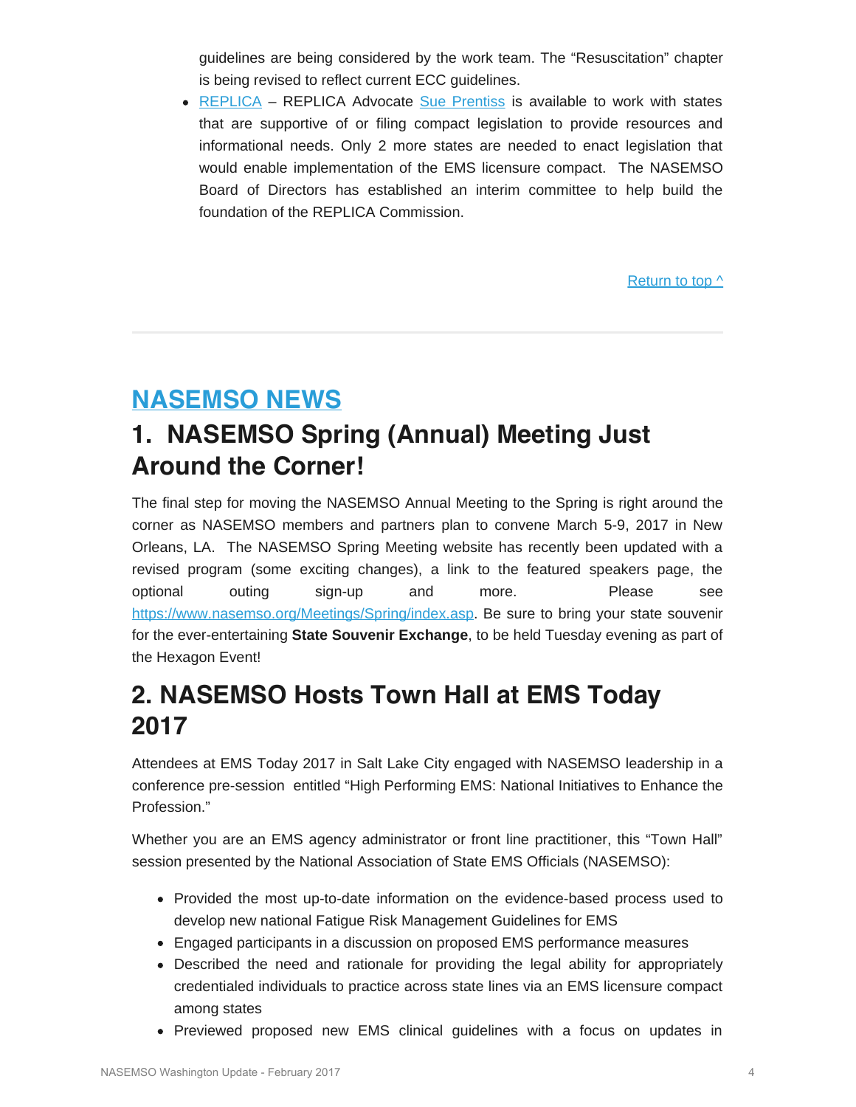guidelines are being considered by the work team. The "Resuscitation" chapter is being revised to reflect current ECC guidelines.

• [REPLICA](http://www.emsreplica.org/) – REPLICA Advocate [Sue Prentiss](mailto:prentiss@emsreplica.org) is available to work with states that are supportive of or filing compact legislation to provide resources and informational needs. Only 2 more states are needed to enact legislation that would enable implementation of the EMS licensure compact. The NASEMSO Board of Directors has established an interim committee to help build the foundation of the REPLICA Commission.

Return to top  $\wedge$ 

## <span id="page-3-0"></span>**NASEMSO NEWS**

## **1. NASEMSO Spring (Annual) Meeting Just Around the Corner!**

The final step for moving the NASEMSO Annual Meeting to the Spring is right around the corner as NASEMSO members and partners plan to convene March 5-9, 2017 in New Orleans, LA. The NASEMSO Spring Meeting website has recently been updated with a revised program (some exciting changes), a link to the featured speakers page, the optional outing sign-up and more. Please see [https://www.nasemso.org/Meetings/Spring/index.asp.](https://www.nasemso.org/Meetings/Spring/index.asp) Be sure to bring your state souvenir for the ever-entertaining **State Souvenir Exchange**, to be held Tuesday evening as part of the Hexagon Event!

## **2. NASEMSO Hosts Town Hall at EMS Today 2017**

Attendees at EMS Today 2017 in Salt Lake City engaged with NASEMSO leadership in a conference pre-session entitled "High Performing EMS: National Initiatives to Enhance the Profession."

Whether you are an EMS agency administrator or front line practitioner, this "Town Hall" session presented by the National Association of State EMS Officials (NASEMSO):

- Provided the most up-to-date information on the evidence-based process used to develop new national Fatigue Risk Management Guidelines for EMS
- Engaged participants in a discussion on proposed EMS performance measures
- Described the need and rationale for providing the legal ability for appropriately credentialed individuals to practice across state lines via an EMS licensure compact among states
- Previewed proposed new EMS clinical guidelines with a focus on updates in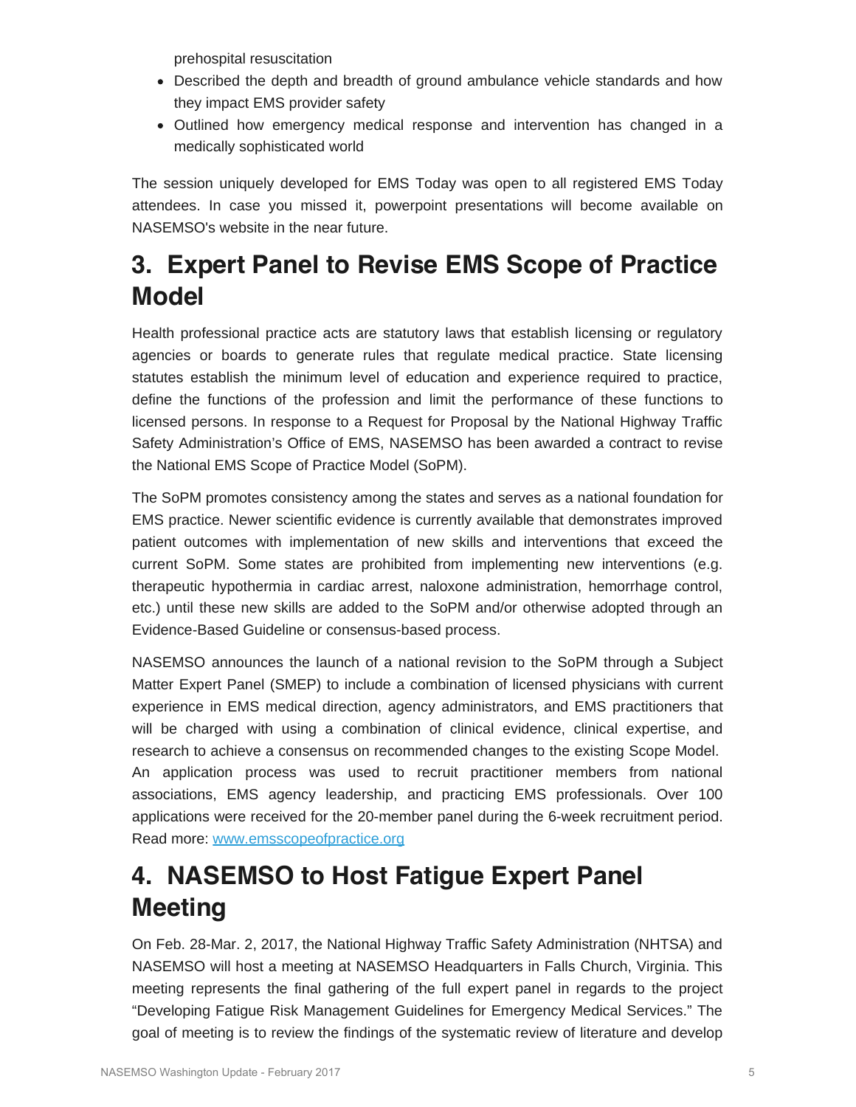prehospital resuscitation

- Described the depth and breadth of ground ambulance vehicle standards and how they impact EMS provider safety
- Outlined how emergency medical response and intervention has changed in a medically sophisticated world

The session uniquely developed for EMS Today was open to all registered EMS Today attendees. In case you missed it, powerpoint presentations will become available on NASEMSO's website in the near future.

## **3. Expert Panel to Revise EMS Scope of Practice Model**

Health professional practice acts are statutory laws that establish licensing or regulatory agencies or boards to generate rules that regulate medical practice. State licensing statutes establish the minimum level of education and experience required to practice, define the functions of the profession and limit the performance of these functions to licensed persons. In response to a Request for Proposal by the National Highway Traffic Safety Administration's Office of EMS, NASEMSO has been awarded a contract to revise the National EMS Scope of Practice Model (SoPM).

The SoPM promotes consistency among the states and serves as a national foundation for EMS practice. Newer scientific evidence is currently available that demonstrates improved patient outcomes with implementation of new skills and interventions that exceed the current SoPM. Some states are prohibited from implementing new interventions (e.g. therapeutic hypothermia in cardiac arrest, naloxone administration, hemorrhage control, etc.) until these new skills are added to the SoPM and/or otherwise adopted through an Evidence-Based Guideline or consensus-based process.

NASEMSO announces the launch of a national revision to the SoPM through a Subject Matter Expert Panel (SMEP) to include a combination of licensed physicians with current experience in EMS medical direction, agency administrators, and EMS practitioners that will be charged with using a combination of clinical evidence, clinical expertise, and research to achieve a consensus on recommended changes to the existing Scope Model. An application process was used to recruit practitioner members from national associations, EMS agency leadership, and practicing EMS professionals. Over 100 applications were received for the 20-member panel during the 6-week recruitment period. Read more: [www.emsscopeofpractice.org](http://www.emsscopeofpractice.org/)

## **4. NASEMSO to Host Fatigue Expert Panel Meeting**

On Feb. 28-Mar. 2, 2017, the National Highway Traffic Safety Administration (NHTSA) and NASEMSO will host a meeting at NASEMSO Headquarters in Falls Church, Virginia. This meeting represents the final gathering of the full expert panel in regards to the project "Developing Fatigue Risk Management Guidelines for Emergency Medical Services." The goal of meeting is to review the findings of the systematic review of literature and develop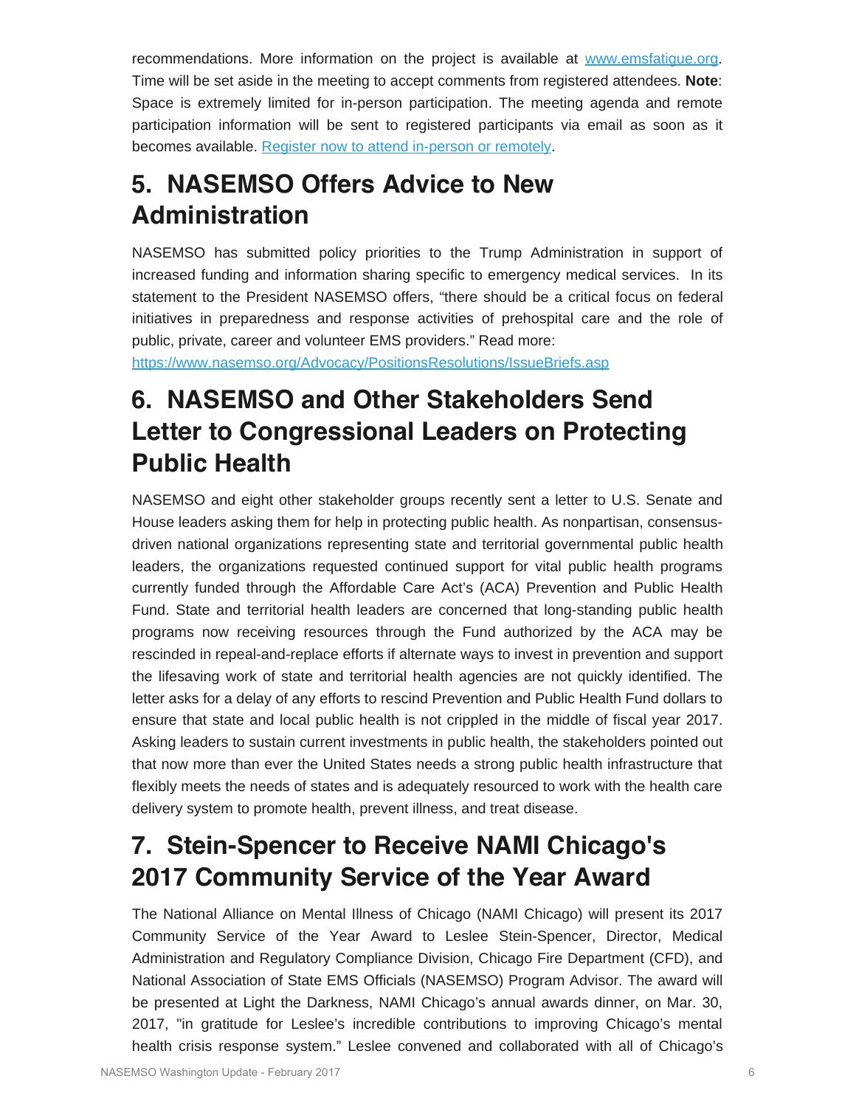recommendations. More information on the project is available at [www.emsfatigue.org.](http://nasemso.org/Projects/Fatigue-in-EMS/index.asp) Time will be set aside in the meeting to accept comments from registered attendees. **Note**: Space is extremely limited for in-person participation. The meeting agenda and remote participation information will be sent to registered participants via email as soon as it becomes available. [Register now to attend in-person or remotely](https://www.surveymonkey.com/r/Fatigue_Expert_Panel_2017).

## **5. NASEMSO Offers Advice to New Administration**

NASEMSO has submitted policy priorities to the Trump Administration in support of increased funding and information sharing specific to emergency medical services. In its statement to the President NASEMSO offers, "there should be a critical focus on federal initiatives in preparedness and response activities of prehospital care and the role of public, private, career and volunteer EMS providers." Read more:

<https://www.nasemso.org/Advocacy/PositionsResolutions/IssueBriefs.asp>

## **6. NASEMSO and Other Stakeholders Send Letter to Congressional Leaders on Protecting Public Health**

NASEMSO and eight other stakeholder groups recently sent a letter to U.S. Senate and House leaders asking them for help in protecting public health. As nonpartisan, consensusdriven national organizations representing state and territorial governmental public health leaders, the organizations requested continued support for vital public health programs currently funded through the Affordable Care Act's (ACA) Prevention and Public Health Fund. State and territorial health leaders are concerned that long-standing public health programs now receiving resources through the Fund authorized by the ACA may be rescinded in repeal-and-replace efforts if alternate ways to invest in prevention and support the lifesaving work of state and territorial health agencies are not quickly identified. The letter asks for a delay of any efforts to rescind Prevention and Public Health Fund dollars to ensure that state and local public health is not crippled in the middle of fiscal year 2017. Asking leaders to sustain current investments in public health, the stakeholders pointed out that now more than ever the United States needs a strong public health infrastructure that flexibly meets the needs of states and is adequately resourced to work with the health care delivery system to promote health, prevent illness, and treat disease.

## **7. Stein-Spencer to Receive NAMI Chicago's 2017 Community Service of the Year Award**

The National Alliance on Mental Illness of Chicago (NAMI Chicago) will present its 2017 Community Service of the Year Award to Leslee Stein-Spencer, Director, Medical Administration and Regulatory Compliance Division, Chicago Fire Department (CFD), and National Association of State EMS Officials (NASEMSO) Program Advisor. The award will be presented at Light the Darkness, NAMI Chicago's annual awards dinner, on Mar. 30, 2017, "in gratitude for Leslee's incredible contributions to improving Chicago's mental health crisis response system." Leslee convened and collaborated with all of Chicago's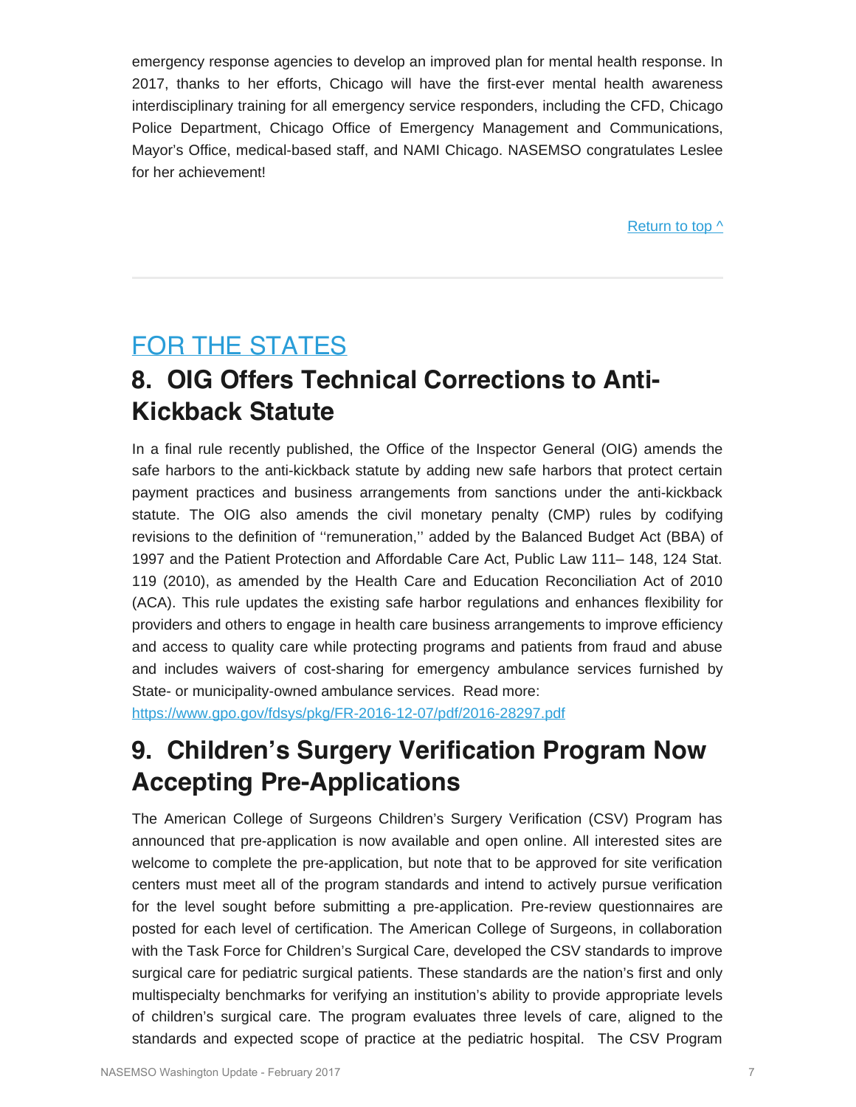emergency response agencies to develop an improved plan for mental health response. In 2017, thanks to her efforts, Chicago will have the first-ever mental health awareness interdisciplinary training for all emergency service responders, including the CFD, Chicago Police Department, Chicago Office of Emergency Management and Communications, Mayor's Office, medical-based staff, and NAMI Chicago. NASEMSO congratulates Leslee for her achievement!

Return to top  $\wedge$ 

## <span id="page-6-0"></span>FOR THE STATES

## **8. OIG Offers Technical Corrections to Anti-Kickback Statute**

In a final rule recently published, the Office of the Inspector General (OIG) amends the safe harbors to the anti-kickback statute by adding new safe harbors that protect certain payment practices and business arrangements from sanctions under the anti-kickback statute. The OIG also amends the civil monetary penalty (CMP) rules by codifying revisions to the definition of ''remuneration,'' added by the Balanced Budget Act (BBA) of 1997 and the Patient Protection and Affordable Care Act, Public Law 111– 148, 124 Stat. 119 (2010), as amended by the Health Care and Education Reconciliation Act of 2010 (ACA). This rule updates the existing safe harbor regulations and enhances flexibility for providers and others to engage in health care business arrangements to improve efficiency and access to quality care while protecting programs and patients from fraud and abuse and includes waivers of cost-sharing for emergency ambulance services furnished by State- or municipality-owned ambulance services. Read more:

<https://www.gpo.gov/fdsys/pkg/FR-2016-12-07/pdf/2016-28297.pdf>

## **9. Children's Surgery Verification Program Now Accepting Pre-Applications**

The American College of Surgeons Children's Surgery Verification (CSV) Program has announced that pre-application is now available and open online. All interested sites are welcome to complete the pre-application, but note that to be approved for site verification centers must meet all of the program standards and intend to actively pursue verification for the level sought before submitting a pre-application. Pre-review questionnaires are posted for each level of certification. The American College of Surgeons, in collaboration with the Task Force for Children's Surgical Care, developed the CSV standards to improve surgical care for pediatric surgical patients. These standards are the nation's first and only multispecialty benchmarks for verifying an institution's ability to provide appropriate levels of children's surgical care. The program evaluates three levels of care, aligned to the standards and expected scope of practice at the pediatric hospital. The CSV Program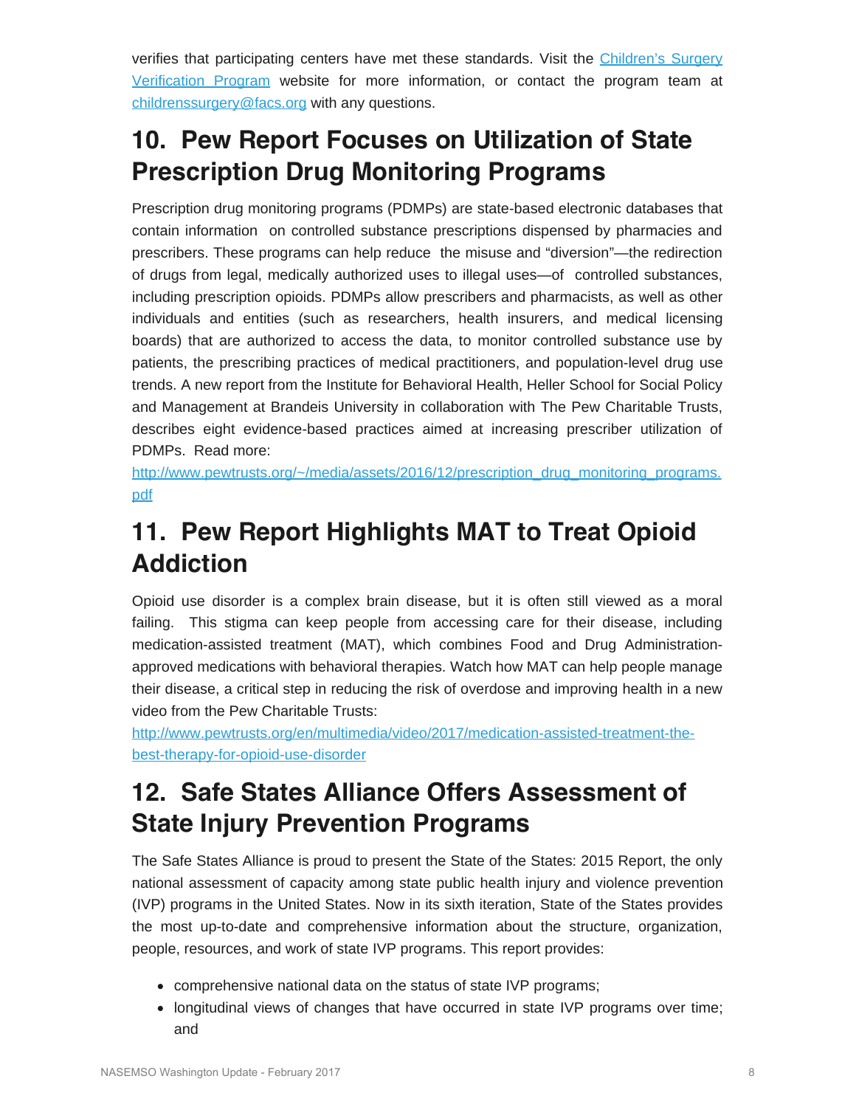verifies that participating centers have met these standards. Visit the [Children's Surgery](https://www.facs.org/quality-programs/childrens-surgery) [Verification Program](https://www.facs.org/quality-programs/childrens-surgery) website for more information, or contact the program team at [childrenssurgery@facs.org](mailto:childrenssurgery@facs.org) with any questions.

## **10. Pew Report Focuses on Utilization of State Prescription Drug Monitoring Programs**

Prescription drug monitoring programs (PDMPs) are state-based electronic databases that contain information on controlled substance prescriptions dispensed by pharmacies and prescribers. These programs can help reduce the misuse and "diversion"—the redirection of drugs from legal, medically authorized uses to illegal uses—of controlled substances, including prescription opioids. PDMPs allow prescribers and pharmacists, as well as other individuals and entities (such as researchers, health insurers, and medical licensing boards) that are authorized to access the data, to monitor controlled substance use by patients, the prescribing practices of medical practitioners, and population-level drug use trends. A new report from the Institute for Behavioral Health, Heller School for Social Policy and Management at Brandeis University in collaboration with The Pew Charitable Trusts, describes eight evidence-based practices aimed at increasing prescriber utilization of PDMPs. Read more:

[http://www.pewtrusts.org/~/media/assets/2016/12/prescription\\_drug\\_monitoring\\_programs.](http://www.pewtrusts.org/~/media/assets/2016/12/prescription_drug_monitoring_programs.pdf) [pdf](http://www.pewtrusts.org/~/media/assets/2016/12/prescription_drug_monitoring_programs.pdf)

## **11. Pew Report Highlights MAT to Treat Opioid Addiction**

Opioid use disorder is a complex brain disease, but it is often still viewed as a moral failing. This stigma can keep people from accessing care for their disease, including medication-assisted treatment (MAT), which combines Food and Drug Administrationapproved medications with behavioral therapies. Watch how MAT can help people manage their disease, a critical step in reducing the risk of overdose and improving health in a new video from the Pew Charitable Trusts:

[http://www.pewtrusts.org/en/multimedia/video/2017/medication-assisted-treatment-the](http://www.pewtrusts.org/en/multimedia/video/2017/medication-assisted-treatment-the-best-therapy-for-opioid-use-disorder)[best-therapy-for-opioid-use-disorder](http://www.pewtrusts.org/en/multimedia/video/2017/medication-assisted-treatment-the-best-therapy-for-opioid-use-disorder)

## **12. Safe States Alliance Offers Assessment of State Injury Prevention Programs**

The Safe States Alliance is proud to present the State of the States: 2015 Report, the only national assessment of capacity among state public health injury and violence prevention (IVP) programs in the United States. Now in its sixth iteration, State of the States provides the most up-to-date and comprehensive information about the structure, organization, people, resources, and work of state IVP programs. This report provides:

- comprehensive national data on the status of state IVP programs;
- longitudinal views of changes that have occurred in state IVP programs over time; and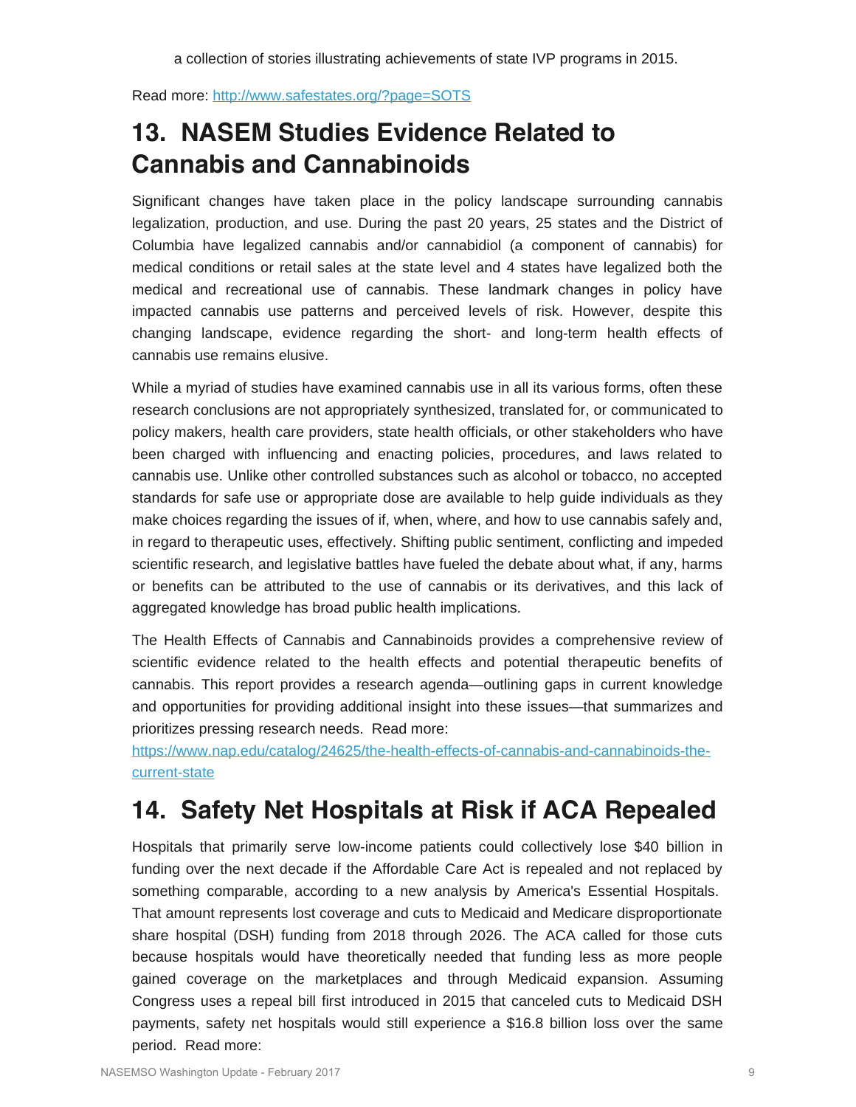Read more:<http://www.safestates.org/?page=SOTS>

## **13. NASEM Studies Evidence Related to Cannabis and Cannabinoids**

Significant changes have taken place in the policy landscape surrounding cannabis legalization, production, and use. During the past 20 years, 25 states and the District of Columbia have legalized cannabis and/or cannabidiol (a component of cannabis) for medical conditions or retail sales at the state level and 4 states have legalized both the medical and recreational use of cannabis. These landmark changes in policy have impacted cannabis use patterns and perceived levels of risk. However, despite this changing landscape, evidence regarding the short- and long-term health effects of cannabis use remains elusive.

While a myriad of studies have examined cannabis use in all its various forms, often these research conclusions are not appropriately synthesized, translated for, or communicated to policy makers, health care providers, state health officials, or other stakeholders who have been charged with influencing and enacting policies, procedures, and laws related to cannabis use. Unlike other controlled substances such as alcohol or tobacco, no accepted standards for safe use or appropriate dose are available to help guide individuals as they make choices regarding the issues of if, when, where, and how to use cannabis safely and, in regard to therapeutic uses, effectively. Shifting public sentiment, conflicting and impeded scientific research, and legislative battles have fueled the debate about what, if any, harms or benefits can be attributed to the use of cannabis or its derivatives, and this lack of aggregated knowledge has broad public health implications.

The Health Effects of Cannabis and Cannabinoids provides a comprehensive review of scientific evidence related to the health effects and potential therapeutic benefits of cannabis. This report provides a research agenda—outlining gaps in current knowledge and opportunities for providing additional insight into these issues—that summarizes and prioritizes pressing research needs. Read more:

[https://www.nap.edu/catalog/24625/the-health-effects-of-cannabis-and-cannabinoids-the](https://www.nap.edu/catalog/24625/the-health-effects-of-cannabis-and-cannabinoids-the-current-state)[current-state](https://www.nap.edu/catalog/24625/the-health-effects-of-cannabis-and-cannabinoids-the-current-state)

## **14. Safety Net Hospitals at Risk if ACA Repealed**

Hospitals that primarily serve low-income patients could collectively lose \$40 billion in funding over the next decade if the Affordable Care Act is repealed and not replaced by something comparable, according to a new analysis by America's Essential Hospitals. That amount represents lost coverage and cuts to Medicaid and Medicare disproportionate share hospital (DSH) funding from 2018 through 2026. The ACA called for those cuts because hospitals would have theoretically needed that funding less as more people gained coverage on the marketplaces and through Medicaid expansion. Assuming Congress uses a repeal bill first introduced in 2015 that canceled cuts to Medicaid DSH payments, safety net hospitals would still experience a \$16.8 billion loss over the same period. Read more: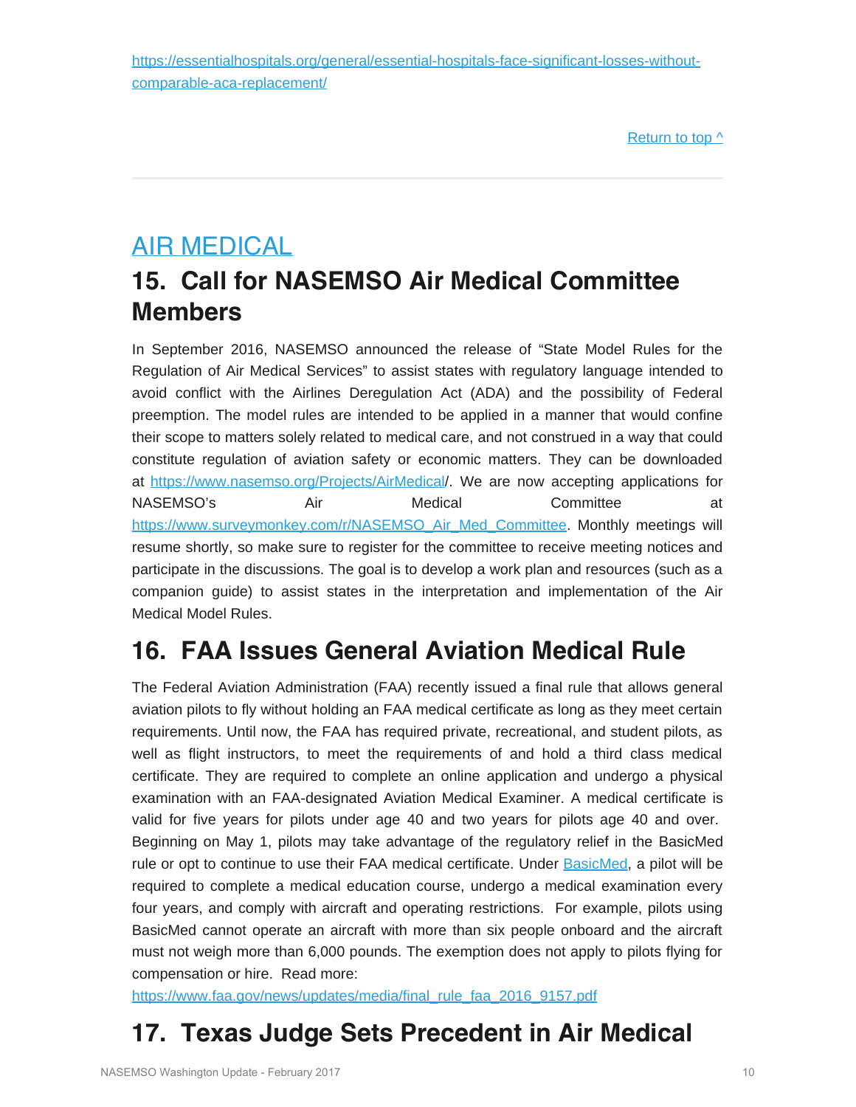[Return to top ^](#page-0-1)

## <span id="page-9-0"></span>AIR MEDICAL

## **15. Call for NASEMSO Air Medical Committee Members**

In September 2016, NASEMSO announced the release of "State Model Rules for the Regulation of Air Medical Services" to assist states with regulatory language intended to avoid conflict with the Airlines Deregulation Act (ADA) and the possibility of Federal preemption. The model rules are intended to be applied in a manner that would confine their scope to matters solely related to medical care, and not construed in a way that could constitute regulation of aviation safety or economic matters. They can be downloaded at <https://www.nasemso.org/Projects/AirMedical>/. We are now accepting applications for NASEMSO's Air Medical Committee at [https://www.surveymonkey.com/r/NASEMSO\\_Air\\_Med\\_Committee.](https://www.surveymonkey.com/r/NASEMSO_Air_Med_Committee) Monthly\_meetings\_will\_ resume shortly, so make sure to register for the committee to receive meeting notices and participate in the discussions. The goal is to develop a work plan and resources (such as a companion guide) to assist states in the interpretation and implementation of the Air Medical Model Rules.

## **16. FAA Issues General Aviation Medical Rule**

The Federal Aviation Administration (FAA) recently issued a final rule that allows general aviation pilots to fly without holding an FAA medical certificate as long as they meet certain requirements. Until now, the FAA has required private, recreational, and student pilots, as well as flight instructors, to meet the requirements of and hold a third class medical certificate. They are required to complete an online application and undergo a physical examination with an FAA-designated Aviation Medical Examiner. A medical certificate is valid for five years for pilots under age 40 and two years for pilots age 40 and over. Beginning on May 1, pilots may take advantage of the regulatory relief in the BasicMed rule or opt to continue to use their FAA medical certificate. Under [BasicMed](http://links.govdelivery.com/track?type=click&enid=ZWFzPTEmbXNpZD0mYXVpZD0mbWFpbGluZ2lkPTIwMTcwMTEwLjY4NTUyNjgxJm1lc3NhZ2VpZD1NREItUFJELUJVTC0yMDE3MDExMC42ODU1MjY4MSZkYXRhYmFzZWlkPTEwMDEmc2VyaWFsPTE2OTg5MjE2JmVtYWlsaWQ9cm9iaW5zb25AbmFzZW1zby5vcmcmdXNlcmlkPXJvYmluc29uQG5hc2Vtc28ub3JnJnRhcmdldGlkPSZmbD0mbXZpZD0mZXh0cmE9JiYm&&&102&&&https://www.faa.gov/licenses_certificates/airmen_certification/basic_med/), a pilot will be required to complete a medical education course, undergo a medical examination every four years, and comply with aircraft and operating restrictions. For example, pilots using BasicMed cannot operate an aircraft with more than six people onboard and the aircraft must not weigh more than 6,000 pounds. The exemption does not apply to pilots flying for compensation or hire. Read more:

[https://www.faa.gov/news/updates/media/final\\_rule\\_faa\\_2016\\_9157.pdf](https://www.faa.gov/news/updates/media/final_rule_faa_2016_9157.pdf)

## **17. Texas Judge Sets Precedent in Air Medical**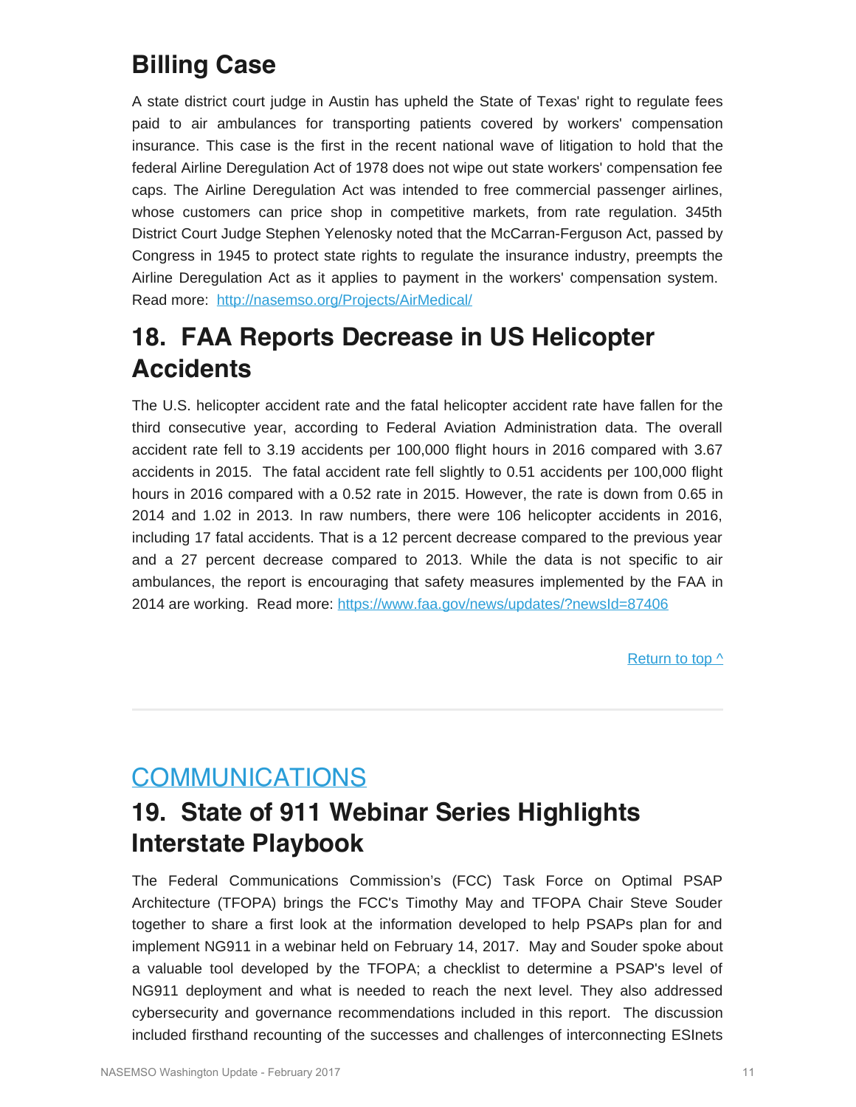## **Billing Case**

A state district court judge in Austin has upheld the State of Texas' right to regulate fees paid to air ambulances for transporting patients covered by workers' compensation insurance. This case is the first in the recent national wave of litigation to hold that the federal Airline Deregulation Act of 1978 does not wipe out state workers' compensation fee caps. The Airline Deregulation Act was intended to free commercial passenger airlines, whose customers can price shop in competitive markets, from rate regulation. 345th District Court Judge Stephen Yelenosky noted that the McCarran-Ferguson Act, passed by Congress in 1945 to protect state rights to regulate the insurance industry, preempts the Airline Deregulation Act as it applies to payment in the workers' compensation system. Read more: <http://nasemso.org/Projects/AirMedical/>

## **18. FAA Reports Decrease in US Helicopter Accidents**

The U.S. helicopter accident rate and the fatal helicopter accident rate have fallen for the third consecutive year, according to Federal Aviation Administration data. The overall accident rate fell to 3.19 accidents per 100,000 flight hours in 2016 compared with 3.67 accidents in 2015. The fatal accident rate fell slightly to 0.51 accidents per 100,000 flight hours in 2016 compared with a 0.52 rate in 2015. However, the rate is down from 0.65 in 2014 and 1.02 in 2013. In raw numbers, there were 106 helicopter accidents in 2016, including 17 fatal accidents. That is a 12 percent decrease compared to the previous year and a 27 percent decrease compared to 2013. While the data is not specific to air ambulances, the report is encouraging that safety measures implemented by the FAA in 2014 are working. Read more: <https://www.faa.gov/news/updates/?newsId=87406>

[Return to top ^](#page-0-1)

## <span id="page-10-0"></span>**COMMUNICATIONS**

## **19. State of 911 Webinar Series Highlights Interstate Playbook**

The Federal Communications Commission's (FCC) Task Force on Optimal PSAP Architecture (TFOPA) brings the FCC's Timothy May and TFOPA Chair Steve Souder together to share a first look at the information developed to help PSAPs plan for and implement NG911 in a webinar held on February 14, 2017. May and Souder spoke about a valuable tool developed by the TFOPA; a checklist to determine a PSAP's level of NG911 deployment and what is needed to reach the next level. They also addressed cybersecurity and governance recommendations included in this report. The discussion included firsthand recounting of the successes and challenges of interconnecting ESInets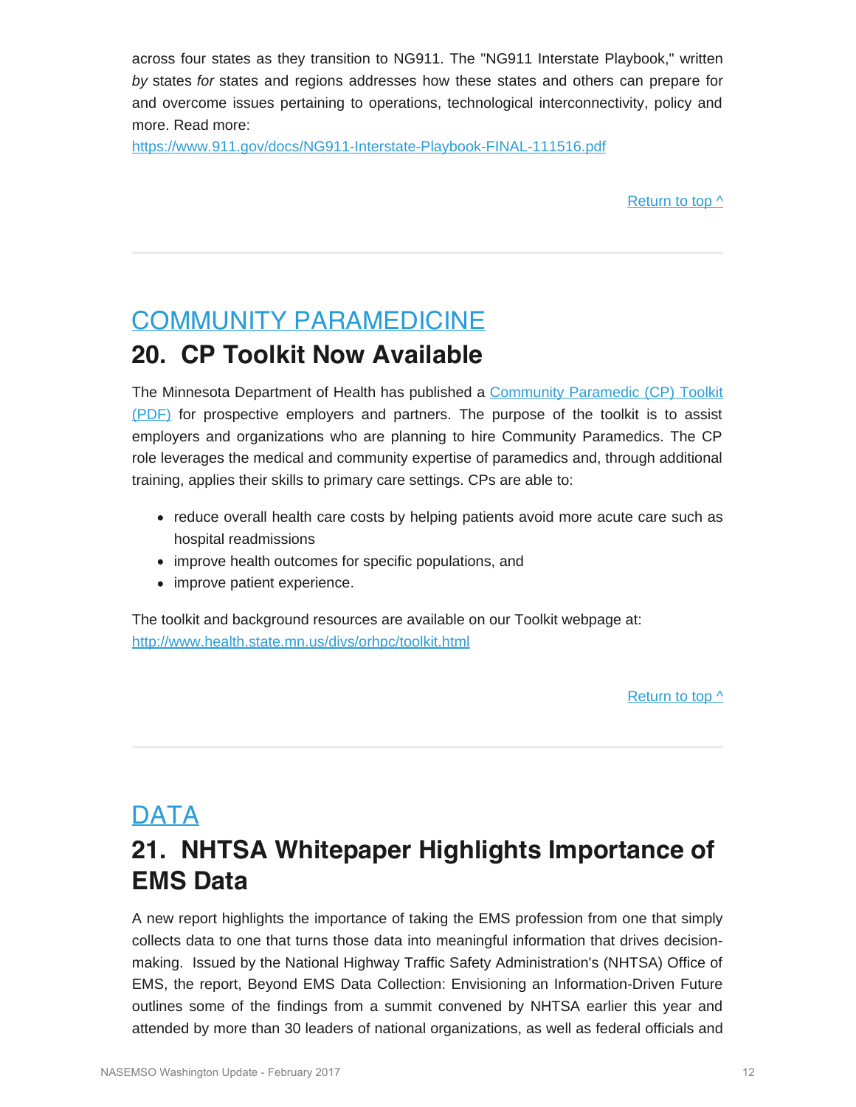across four states as they transition to NG911. The "NG911 Interstate Playbook," written *by* states *for* states and regions addresses how these states and others can prepare for and overcome issues pertaining to operations, technological interconnectivity, policy and more. Read more:

<https://www.911.gov/docs/NG911-Interstate-Playbook-FINAL-111516.pdf>

Return to top  $\wedge$ 

### <span id="page-11-0"></span>COMMUNITY PARAMEDICINE

### **20. CP Toolkit Now Available**

The Minnesota Department of Health has published a Community [Paramedic \(CP\)](http://www.health.state.mn.us/divs/orhpc/workforce/emerging/cp/2016cptoolkit.pdf) Toolkit [\(PDF\)](http://www.health.state.mn.us/divs/orhpc/workforce/emerging/cp/2016cptoolkit.pdf) for prospective employers and partners. The purpose of the toolkit is to assist employers and organizations who are planning to hire Community Paramedics. The CP role leverages the medical and community expertise of paramedics and, through additional training, applies their skills to primary care settings. CPs are able to:

- reduce overall health care costs by helping patients avoid more acute care such as hospital readmissions
- improve health outcomes for specific populations, and
- improve patient experience.

The toolkit and background resources are available on our Toolkit webpage at: <http://www.health.state.mn.us/divs/orhpc/toolkit.html>

Return to top  $\wedge$ 

## <span id="page-11-1"></span>DATA

## **21. NHTSA Whitepaper Highlights Importance of EMS Data**

A new report highlights the importance of taking the EMS profession from one that simply collects data to one that turns those data into meaningful information that drives decisionmaking. Issued by the National Highway Traffic Safety Administration's (NHTSA) Office of EMS, the report, Beyond EMS Data Collection: Envisioning an Information-Driven Future outlines some of the findings from a summit convened by NHTSA earlier this year and attended by more than 30 leaders of national organizations, as well as federal officials and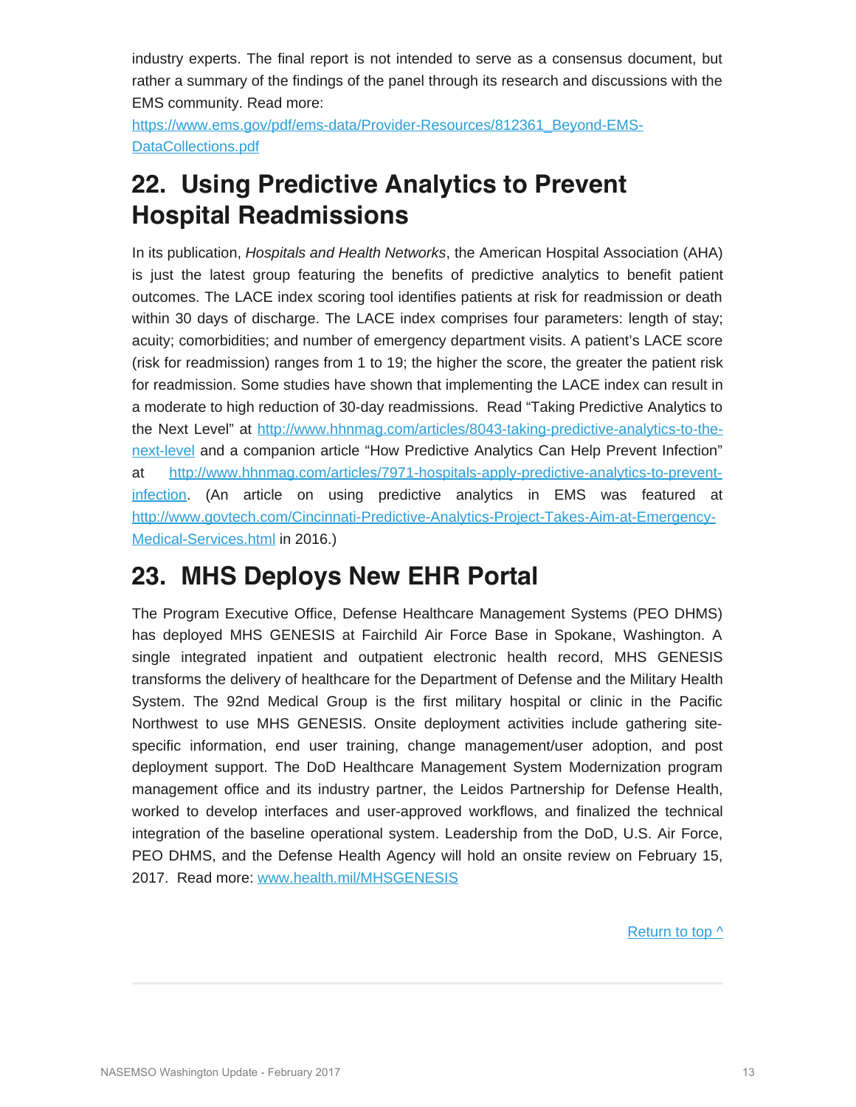industry experts. The final report is not intended to serve as a consensus document, but rather a summary of the findings of the panel through its research and discussions with the EMS community. Read more:

[https://www.ems.gov/pdf/ems-data/Provider-Resources/812361\\_Beyond-EMS-](https://www.ems.gov/pdf/ems-data/Provider-Resources/812361_Beyond-EMS-DataCollections.pdf)[DataCollections.pdf](https://www.ems.gov/pdf/ems-data/Provider-Resources/812361_Beyond-EMS-DataCollections.pdf)

## **22. Using Predictive Analytics to Prevent Hospital Readmissions**

In its publication, *Hospitals and Health Networks*, the American Hospital Association (AHA) is just the latest group featuring the benefits of predictive analytics to benefit patient outcomes. The LACE index scoring tool identifies patients at risk for readmission or death within 30 days of discharge. The LACE index comprises four parameters: length of stay; acuity; comorbidities; and number of emergency department visits. A patient's LACE score (risk for readmission) ranges from 1 to 19; the higher the score, the greater the patient risk for readmission. Some studies have shown that implementing the LACE index can result in a moderate to high reduction of 30-day readmissions. Read "Taking Predictive Analytics to the Next Level" at [http://www.hhnmag.com/articles/8043-taking-predictive-analytics-to-the](http://www.hhnmag.com/articles/8043-taking-predictive-analytics-to-the-next-level)[next-level](http://www.hhnmag.com/articles/8043-taking-predictive-analytics-to-the-next-level) and a companion article "How Predictive Analytics Can Help Prevent Infection" at [http://www.hhnmag.com/articles/7971-hospitals-apply-predictive-analytics-to-prevent](http://www.hhnmag.com/articles/7971-hospitals-apply-predictive-analytics-to-prevent-infection)[infection.](http://www.hhnmag.com/articles/7971-hospitals-apply-predictive-analytics-to-prevent-infection) (An article on using predictive analytics in EMS was featured at [http://www.govtech.com/Cincinnati-Predictive-Analytics-Project-Takes-Aim-at-Emergency-](http://www.govtech.com/Cincinnati-Predictive-Analytics-Project-Takes-Aim-at-Emergency-Medical-Services.html)[Medical-Services.html](http://www.govtech.com/Cincinnati-Predictive-Analytics-Project-Takes-Aim-at-Emergency-Medical-Services.html) in 2016.)

## **23. MHS Deploys New EHR Portal**

The Program Executive Office, Defense Healthcare Management Systems (PEO DHMS) has deployed MHS GENESIS at Fairchild Air Force Base in Spokane, Washington. A single integrated inpatient and outpatient electronic health record, MHS GENESIS transforms the delivery of healthcare for the Department of Defense and the Military Health System. The 92nd Medical Group is the first military hospital or clinic in the Pacific Northwest to use MHS GENESIS. Onsite deployment activities include gathering sitespecific information, end user training, change management/user adoption, and post deployment support. The DoD Healthcare Management System Modernization program management office and its industry partner, the Leidos Partnership for Defense Health, worked to develop interfaces and user-approved workflows, and finalized the technical integration of the baseline operational system. Leadership from the DoD, U.S. Air Force, PEO DHMS, and the Defense Health Agency will hold an onsite review on February 15, 2017. Read more: [www.health.mil/MHSGENESIS](http://www.health.mil/Military-Health-Topics/Technology/Military-Electronic-Health-Record/MHS-GENESIS)

Return to top  $\wedge$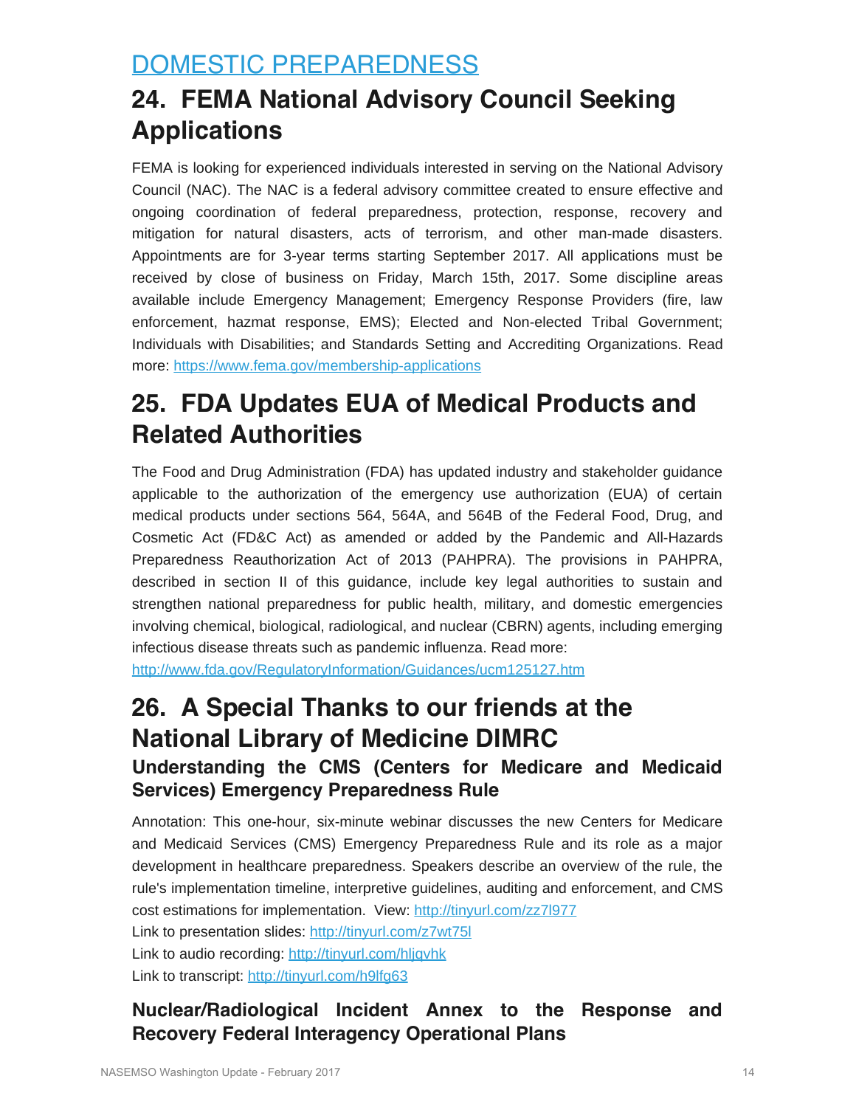## <span id="page-13-0"></span>DOMESTIC PREPAREDNESS

## **24. FEMA National Advisory Council Seeking Applications**

FEMA is looking for experienced individuals interested in serving on the National Advisory Council (NAC). The NAC is a federal advisory committee created to ensure effective and ongoing coordination of federal preparedness, protection, response, recovery and mitigation for natural disasters, acts of terrorism, and other man-made disasters. Appointments are for 3-year terms starting September 2017. All applications must be received by close of business on Friday, March 15th, 2017. Some discipline areas available include Emergency Management; Emergency Response Providers (fire, law enforcement, hazmat response, EMS); Elected and Non-elected Tribal Government; Individuals with Disabilities; and Standards Setting and Accrediting Organizations. Read more:<https://www.fema.gov/membership-applications>

## **25. FDA Updates EUA of Medical Products and Related Authorities**

The Food and Drug Administration (FDA) has updated industry and stakeholder guidance applicable to the authorization of the emergency use authorization (EUA) of certain medical products under sections 564, 564A, and 564B of the Federal Food, Drug, and Cosmetic Act (FD&C Act) as amended or added by the Pandemic and All-Hazards Preparedness Reauthorization Act of 2013 (PAHPRA). The provisions in PAHPRA, described in section II of this guidance, include key legal authorities to sustain and strengthen national preparedness for public health, military, and domestic emergencies involving chemical, biological, radiological, and nuclear (CBRN) agents, including emerging infectious disease threats such as pandemic influenza. Read more:

<http://www.fda.gov/RegulatoryInformation/Guidances/ucm125127.htm>

# **26. A Special Thanks to our friends at the National Library of Medicine DIMRC**

### **Understanding the CMS (Centers for Medicare and Medicaid Services) Emergency Preparedness Rule**

Annotation: This one-hour, six-minute webinar discusses the new Centers for Medicare and Medicaid Services (CMS) Emergency Preparedness Rule and its role as a major development in healthcare preparedness. Speakers describe an overview of the rule, the rule's implementation timeline, interpretive guidelines, auditing and enforcement, and CMS cost estimations for implementation. View:<http://tinyurl.com/zz7l977>

Link to presentation slides:<http://tinyurl.com/z7wt75l>

Link to audio recording:<http://tinyurl.com/hljqvhk>

Link to transcript:<http://tinyurl.com/h9lfg63>

### **Nuclear/Radiological Incident Annex to the Response and Recovery Federal Interagency Operational Plans**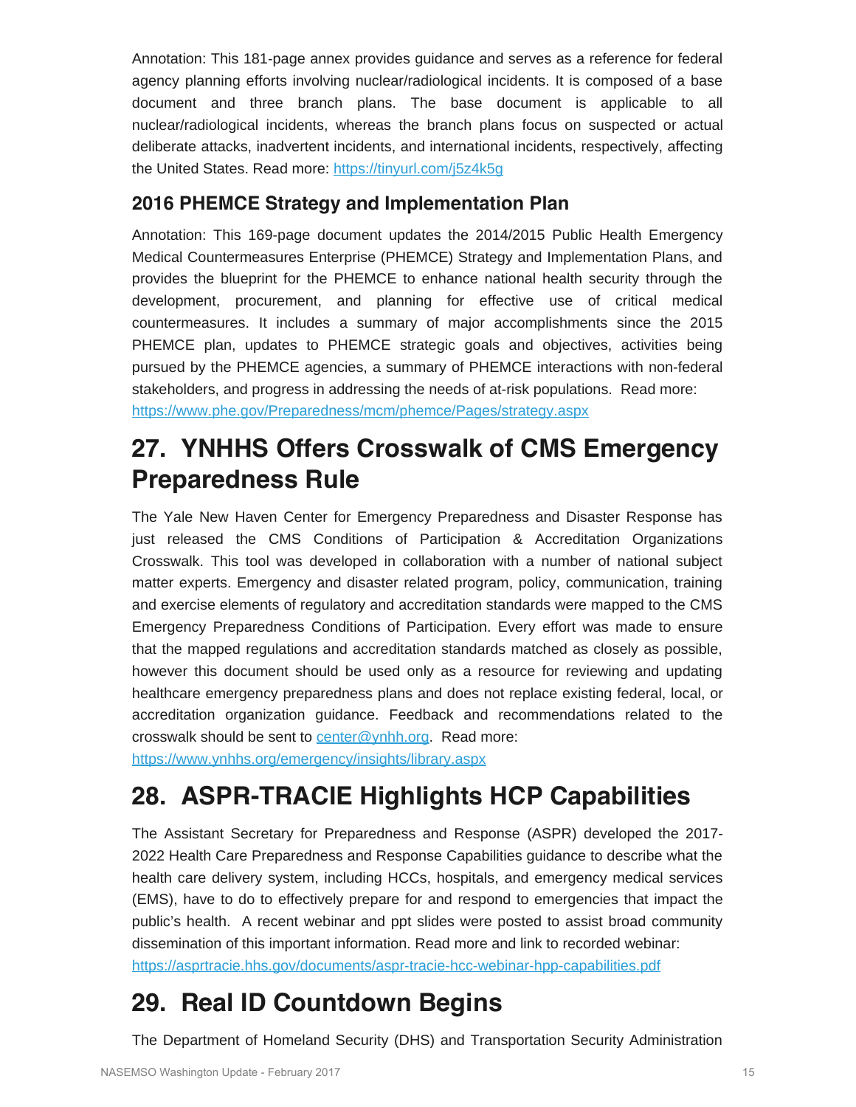Annotation: This 181-page annex provides guidance and serves as a reference for federal agency planning efforts involving nuclear/radiological incidents. It is composed of a base document and three branch plans. The base document is applicable to all nuclear/radiological incidents, whereas the branch plans focus on suspected or actual deliberate attacks, inadvertent incidents, and international incidents, respectively, affecting the United States. Read more: <https://tinyurl.com/j5z4k5g>

### **2016 PHEMCE Strategy and Implementation Plan**

Annotation: This 169-page document updates the 2014/2015 Public Health Emergency Medical Countermeasures Enterprise (PHEMCE) Strategy and Implementation Plans, and provides the blueprint for the PHEMCE to enhance national health security through the development, procurement, and planning for effective use of critical medical countermeasures. It includes a summary of major accomplishments since the 2015 PHEMCE plan, updates to PHEMCE strategic goals and objectives, activities being pursued by the PHEMCE agencies, a summary of PHEMCE interactions with non-federal stakeholders, and progress in addressing the needs of at-risk populations. Read more: <https://www.phe.gov/Preparedness/mcm/phemce/Pages/strategy.aspx>

## **27. YNHHS Offers Crosswalk of CMS Emergency Preparedness Rule**

The Yale New Haven Center for Emergency Preparedness and Disaster Response has just released the CMS Conditions of Participation & Accreditation Organizations Crosswalk. This tool was developed in collaboration with a number of national subject matter experts. Emergency and disaster related program, policy, communication, training and exercise elements of regulatory and accreditation standards were mapped to the CMS Emergency Preparedness Conditions of Participation. Every effort was made to ensure that the mapped regulations and accreditation standards matched as closely as possible, however this document should be used only as a resource for reviewing and updating healthcare emergency preparedness plans and does not replace existing federal, local, or accreditation organization guidance. Feedback and recommendations related to the crosswalk should be sent to [center@ynhh.org](mailto:center@ynhh.org). Read more:

<https://www.ynhhs.org/emergency/insights/library.aspx>

## **28. ASPR-TRACIE Highlights HCP Capabilities**

The Assistant Secretary for Preparedness and Response (ASPR) developed the 2017- 2022 Health Care Preparedness and Response Capabilities guidance to describe what the health care delivery system, including HCCs, hospitals, and emergency medical services (EMS), have to do to effectively prepare for and respond to emergencies that impact the public's health. A recent webinar and ppt slides were posted to assist broad community dissemination of this important information. Read more and link to recorded webinar: <https://asprtracie.hhs.gov/documents/aspr-tracie-hcc-webinar-hpp-capabilities.pdf>

## **29. Real ID Countdown Begins**

The Department of Homeland Security (DHS) and Transportation Security Administration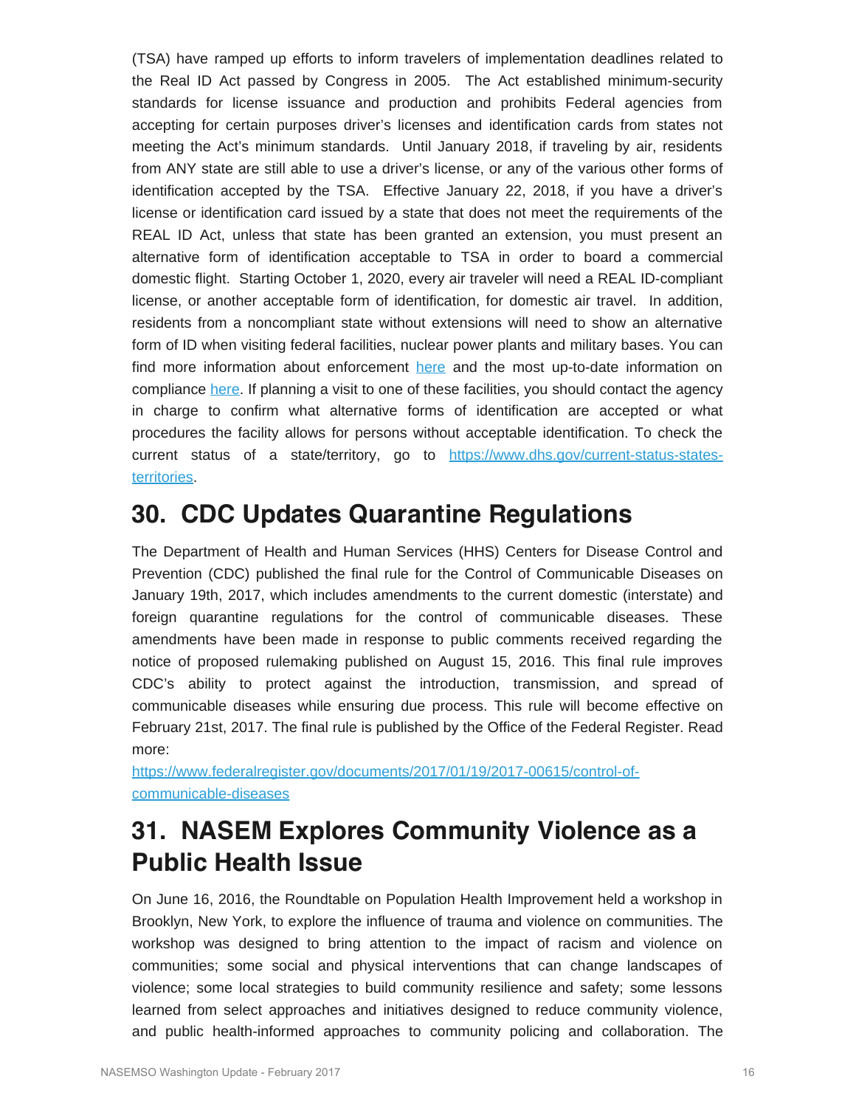(TSA) have ramped up efforts to inform travelers of implementation deadlines related to the Real ID Act passed by Congress in 2005. The Act established minimum-security standards for license issuance and production and prohibits Federal agencies from accepting for certain purposes driver's licenses and identification cards from states not meeting the Act's minimum standards. Until January 2018, if traveling by air, residents from ANY state are still able to use a driver's license, or any of the various other forms of identification accepted by the TSA. Effective January 22, 2018, if you have a driver's license or identification card issued by a state that does not meet the requirements of the REAL ID Act, unless that state has been granted an extension, you must present an alternative form of identification acceptable to TSA in order to board a commercial domestic flight. Starting October 1, 2020, every air traveler will need a REAL ID-compliant license, or another acceptable form of identification, for domestic air travel. In addition, residents from a noncompliant state without extensions will need to show an alternative form of ID when visiting federal facilities, nuclear power plants and military bases. You can find more information about enforcement [here](https://www.dhs.gov/publication/isc-real-id-guide) and the most up-to-date information on compliance [here](https://www.dhs.gov/real-id-enforcement-brief). If planning a visit to one of these facilities, you should contact the agency in charge to confirm what alternative forms of identification are accepted or what procedures the facility allows for persons without acceptable identification. To check the current status of a state/territory, go to [https://www.dhs.gov/current-status-states](https://www.dhs.gov/current-status-states-territories)[territories.](https://www.dhs.gov/current-status-states-territories)

### **30. CDC Updates Quarantine Regulations**

The Department of Health and Human Services (HHS) Centers for Disease Control and Prevention (CDC) published the final rule for the Control of Communicable Diseases on January 19th, 2017, which includes amendments to the current domestic (interstate) and foreign quarantine regulations for the control of communicable diseases. These amendments have been made in response to public comments received regarding the notice of proposed rulemaking published on August 15, 2016. This final rule improves CDC's ability to protect against the introduction, transmission, and spread of communicable diseases while ensuring due process. This rule will become effective on February 21st, 2017. The final rule is published by the Office of the Federal Register. Read more:

[https://www.federalregister.gov/documents/2017/01/19/2017-00615/control-of](https://www.federalregister.gov/documents/2017/01/19/2017-00615/control-of-communicable-diseases)[communicable-diseases](https://www.federalregister.gov/documents/2017/01/19/2017-00615/control-of-communicable-diseases)

## **31. NASEM Explores Community Violence as a Public Health Issue**

On June 16, 2016, the Roundtable on Population Health Improvement held a workshop in Brooklyn, New York, to explore the influence of trauma and violence on communities. The workshop was designed to bring attention to the impact of racism and violence on communities; some social and physical interventions that can change landscapes of violence; some local strategies to build community resilience and safety; some lessons learned from select approaches and initiatives designed to reduce community violence, and public health-informed approaches to community policing and collaboration. The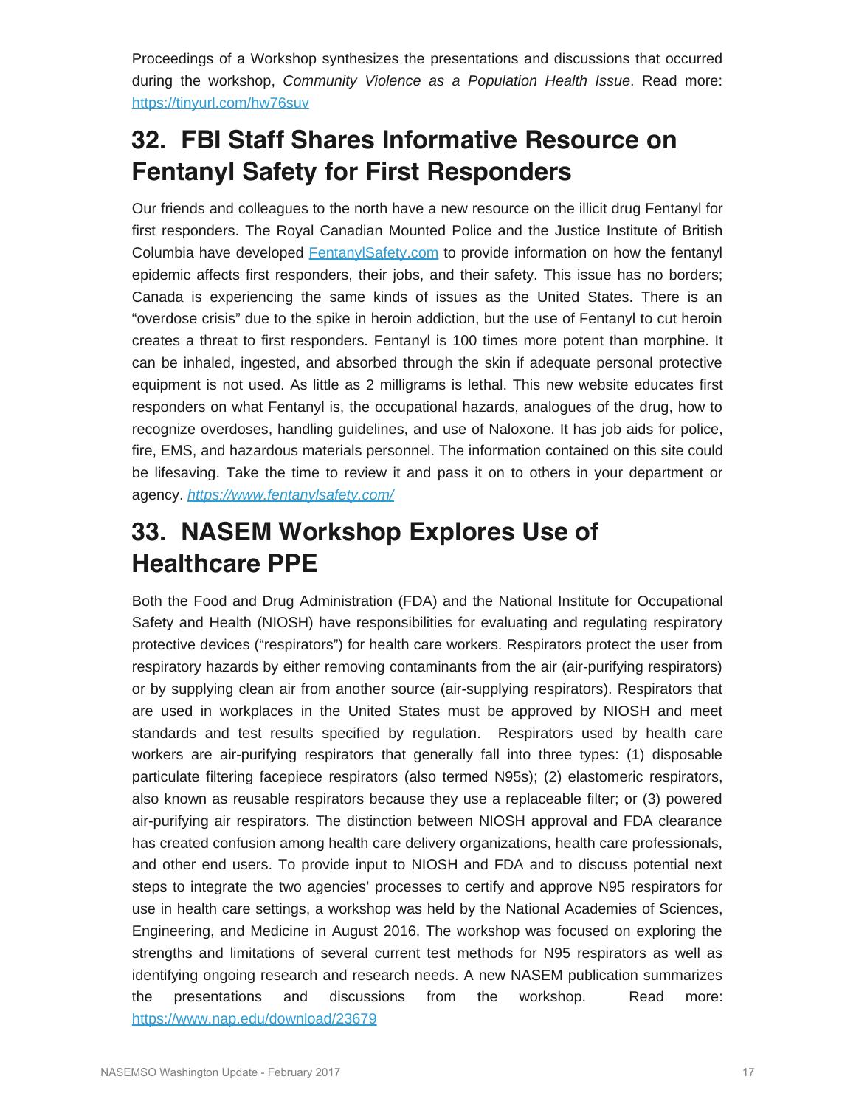Proceedings of a Workshop synthesizes the presentations and discussions that occurred during the workshop, *Community Violence as a Population Health Issue*. Read more: <https://tinyurl.com/hw76suv>

## **32. FBI Staff Shares Informative Resource on Fentanyl Safety for First Responders**

Our friends and colleagues to the north have a new resource on the illicit drug Fentanyl for first responders. The Royal Canadian Mounted Police and the Justice Institute of British Columbia have developed [FentanylSafety.com](http://fentanylsafety.com/) to provide information on how the fentanyl epidemic affects first responders, their jobs, and their safety. This issue has no borders; Canada is experiencing the same kinds of issues as the United States. There is an "overdose crisis" due to the spike in heroin addiction, but the use of Fentanyl to cut heroin creates a threat to first responders. Fentanyl is 100 times more potent than morphine. It can be inhaled, ingested, and absorbed through the skin if adequate personal protective equipment is not used. As little as 2 milligrams is lethal. This new website educates first responders on what Fentanyl is, the occupational hazards, analogues of the drug, how to recognize overdoses, handling guidelines, and use of Naloxone. It has job aids for police, fire, EMS, and hazardous materials personnel. The information contained on this site could be lifesaving. Take the time to review it and pass it on to others in your department or agency. *<https://www.fentanylsafety.com/>*

## **33. NASEM Workshop Explores Use of Healthcare PPE**

Both the Food and Drug Administration (FDA) and the National Institute for Occupational Safety and Health (NIOSH) have responsibilities for evaluating and regulating respiratory protective devices ("respirators") for health care workers. Respirators protect the user from respiratory hazards by either removing contaminants from the air (air-purifying respirators) or by supplying clean air from another source (air-supplying respirators). Respirators that are used in workplaces in the United States must be approved by NIOSH and meet standards and test results specified by regulation. Respirators used by health care workers are air-purifying respirators that generally fall into three types: (1) disposable particulate filtering facepiece respirators (also termed N95s); (2) elastomeric respirators, also known as reusable respirators because they use a replaceable filter; or (3) powered air-purifying air respirators. The distinction between NIOSH approval and FDA clearance has created confusion among health care delivery organizations, health care professionals, and other end users. To provide input to NIOSH and FDA and to discuss potential next steps to integrate the two agencies' processes to certify and approve N95 respirators for use in health care settings, a workshop was held by the National Academies of Sciences, Engineering, and Medicine in August 2016. The workshop was focused on exploring the strengths and limitations of several current test methods for N95 respirators as well as identifying ongoing research and research needs. A new NASEM publication summarizes the presentations and discussions from the workshop. Read more: <https://www.nap.edu/download/23679>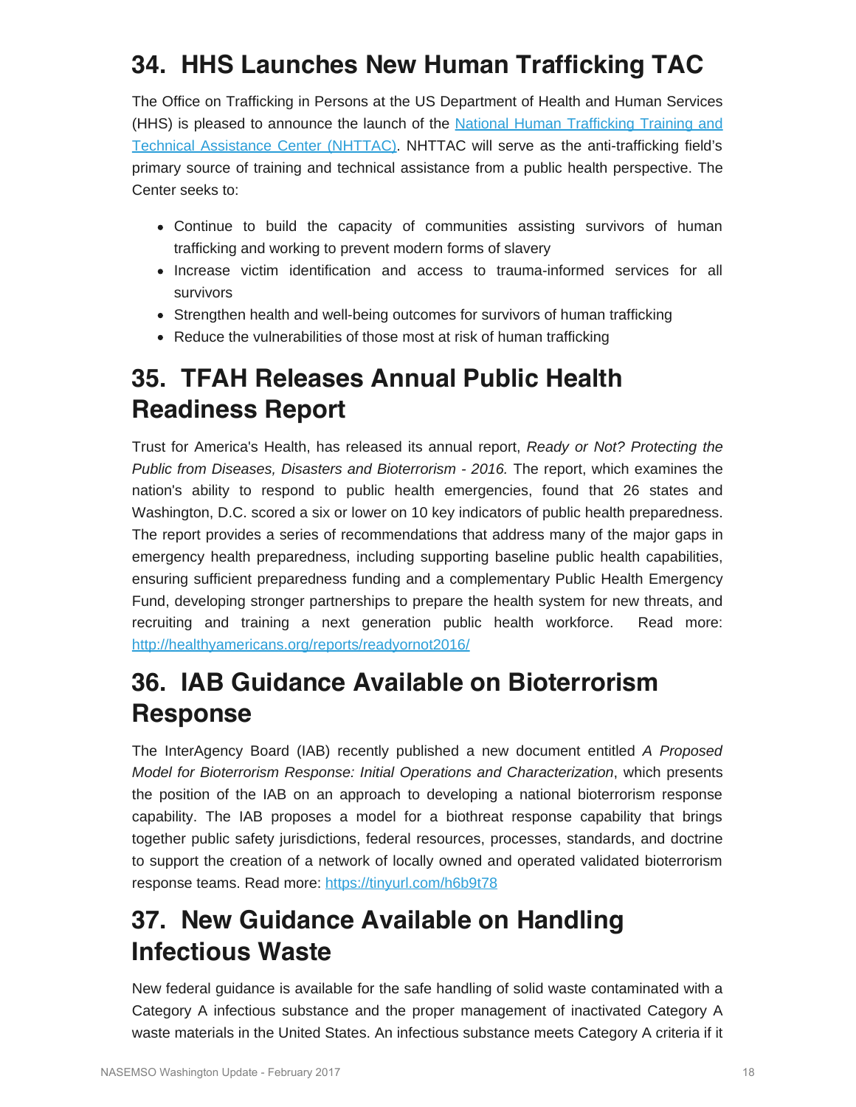## **34. HHS Launches New Human Trafficking TAC**

The Office on Trafficking in Persons at the US Department of Health and Human Services (HHS) is pleased to announce the launch of the [National Human Trafficking Training and](https://www.acf.hhs.gov/otip/training/nhttac) [Technical Assistance Center \(NHTTAC\).](https://www.acf.hhs.gov/otip/training/nhttac) NHTTAC will serve as the anti-trafficking field's primary source of training and technical assistance from a public health perspective. The Center seeks to:

- Continue to build the capacity of communities assisting survivors of human trafficking and working to prevent modern forms of slavery
- Increase victim identification and access to trauma-informed services for all survivors
- Strengthen health and well-being outcomes for survivors of human trafficking
- Reduce the vulnerabilities of those most at risk of human trafficking

## **35. TFAH Releases Annual Public Health Readiness Report**

Trust for America's Health, has released its annual report, *Ready or Not? Protecting the Public from Diseases, Disasters and Bioterrorism - 2016.* The report, which examines the nation's ability to respond to public health emergencies, found that 26 states and Washington, D.C. scored a six or lower on 10 key indicators of public health preparedness. The report provides a series of recommendations that address many of the major gaps in emergency health preparedness, including supporting baseline public health capabilities, ensuring sufficient preparedness funding and a complementary Public Health Emergency Fund, developing stronger partnerships to prepare the health system for new threats, and recruiting and training a next generation public health workforce. Read more: <http://healthyamericans.org/reports/readyornot2016/>

## **36. IAB Guidance Available on Bioterrorism Response**

The InterAgency Board (IAB) recently published a new document entitled *A Proposed Model for Bioterrorism Response: Initial Operations and Characterization*, which presents the position of the IAB on an approach to developing a national bioterrorism response capability. The IAB proposes a model for a biothreat response capability that brings together public safety jurisdictions, federal resources, processes, standards, and doctrine to support the creation of a network of locally owned and operated validated bioterrorism response teams. Read more: <https://tinyurl.com/h6b9t78>

## **37. New Guidance Available on Handling Infectious Waste**

New federal guidance is available for the safe handling of solid waste contaminated with a Category A infectious substance and the proper management of inactivated Category A waste materials in the United States. An infectious substance meets Category A criteria if it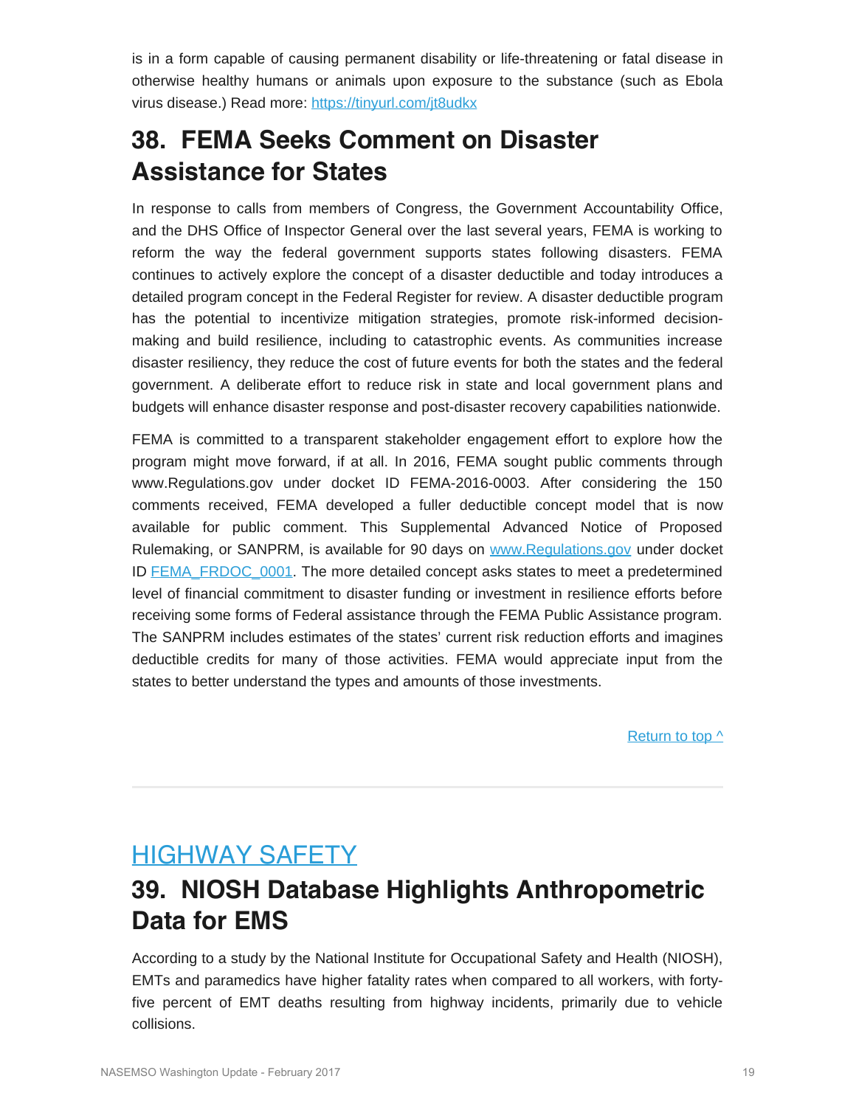is in a form capable of causing permanent disability or life-threatening or fatal disease in otherwise healthy humans or animals upon exposure to the substance (such as Ebola virus disease.) Read more: <https://tinyurl.com/jt8udkx>

## **38. FEMA Seeks Comment on Disaster Assistance for States**

In response to calls from members of Congress, the Government Accountability Office, and the DHS Office of Inspector General over the last several years, FEMA is working to reform the way the federal government supports states following disasters. FEMA continues to actively explore the concept of a disaster deductible and today introduces a detailed program concept in the Federal Register for review. A disaster deductible program has the potential to incentivize mitigation strategies, promote risk-informed decisionmaking and build resilience, including to catastrophic events. As communities increase disaster resiliency, they reduce the cost of future events for both the states and the federal government. A deliberate effort to reduce risk in state and local government plans and budgets will enhance disaster response and post-disaster recovery capabilities nationwide.

FEMA is committed to a transparent stakeholder engagement effort to explore how the program might move forward, if at all. In 2016, FEMA sought public comments through www.Regulations.gov under docket ID FEMA-2016-0003. After considering the 150 comments received, FEMA developed a fuller deductible concept model that is now available for public comment. This Supplemental Advanced Notice of Proposed Rulemaking, or SANPRM, is available for 90 days on [www.Regulations.gov](http://www.regulations.gov/) under docket ID [FEMA\\_FRDOC\\_0001](https://www.federalregister.gov/documents/2017/01/12/2017-00467/establishing-a-deductible-for-femas-public-assistance-program?utm_campaign=subscription%20mailing%20list&utm_source=federalregister.gov&utm_medium=email). The more detailed concept asks states to meet a predetermined level of financial commitment to disaster funding or investment in resilience efforts before receiving some forms of Federal assistance through the FEMA Public Assistance program. The SANPRM includes estimates of the states' current risk reduction efforts and imagines deductible credits for many of those activities. FEMA would appreciate input from the states to better understand the types and amounts of those investments.

[Return to top ^](#page-0-1)

## <span id="page-18-0"></span>HIGHWAY SAFETY

## **39. NIOSH Database Highlights Anthropometric Data for EMS**

According to a study by the National Institute for Occupational Safety and Health (NIOSH), EMTs and paramedics have higher fatality rates when compared to all workers, with fortyfive percent of EMT deaths resulting from highway incidents, primarily due to vehicle collisions.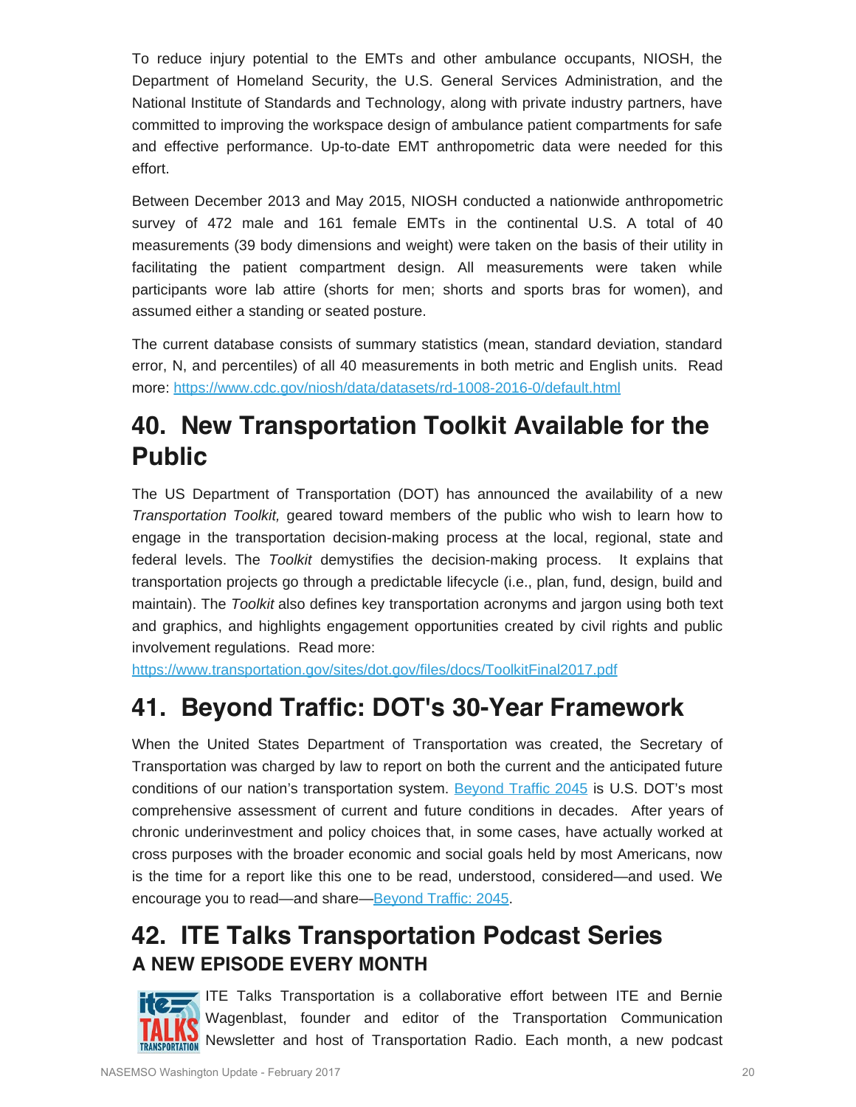To reduce injury potential to the EMTs and other ambulance occupants, NIOSH, the Department of Homeland Security, the U.S. General Services Administration, and the National Institute of Standards and Technology, along with private industry partners, have committed to improving the workspace design of ambulance patient compartments for safe and effective performance. Up-to-date EMT anthropometric data were needed for this effort.

Between December 2013 and May 2015, NIOSH conducted a nationwide anthropometric survey of 472 male and 161 female EMTs in the continental U.S. A total of 40 measurements (39 body dimensions and weight) were taken on the basis of their utility in facilitating the patient compartment design. All measurements were taken while participants wore lab attire (shorts for men; shorts and sports bras for women), and assumed either a standing or seated posture.

The current database consists of summary statistics (mean, standard deviation, standard error, N, and percentiles) of all 40 measurements in both metric and English units. Read more:<https://www.cdc.gov/niosh/data/datasets/rd-1008-2016-0/default.html>

## **40. New Transportation Toolkit Available for the Public**

The US Department of Transportation (DOT) has announced the availability of a new *Transportation Toolkit,* geared toward members of the public who wish to learn how to engage in the transportation decision-making process at the local, regional, state and federal levels. The *Toolkit* demystifies the decision-making process. It explains that transportation projects go through a predictable lifecycle (i.e., plan, fund, design, build and maintain). The *Toolkit* also defines key transportation acronyms and jargon using both text and graphics, and highlights engagement opportunities created by civil rights and public involvement regulations. Read more:

<https://www.transportation.gov/sites/dot.gov/files/docs/ToolkitFinal2017.pdf>

## **41. Beyond Traffic: DOT's 30-Year Framework**

When the United States Department of Transportation was created, the Secretary of Transportation was charged by law to report on both the current and the anticipated future conditions of our nation's transportation system. [Beyond Traffic 2045](https://www.transportation.gov/policy-initiatives/beyond-traffic-2045-final-report) is U.S. DOT's most comprehensive assessment of current and future conditions in decades. After years of chronic underinvestment and policy choices that, in some cases, have actually worked at cross purposes with the broader economic and social goals held by most Americans, now is the time for a report like this one to be read, understood, considered—and used. We encourage you to read—and share[—Beyond Traffic: 2045](https://www.transportation.gov/policy-initiatives/beyond-traffic-2045-final-report).

## **42. ITE Talks Transportation Podcast Series A NEW EPISODE EVERY MONTH**



**ITE Talks Transportation is a collaborative effort between ITE and Bernie** Wagenblast, founder and editor of the Transportation Communication Newsletter and host of Transportation Radio. Each month, a new podcast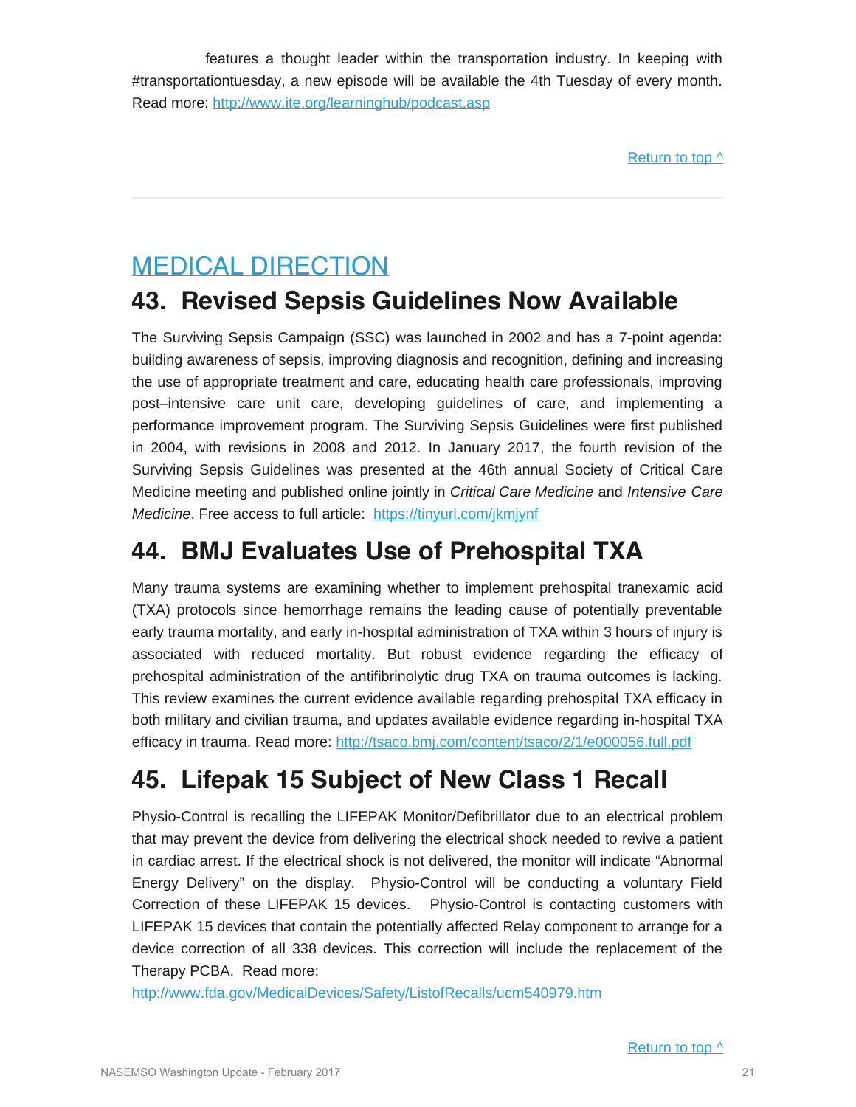features a thought leader within the transportation industry. In keeping with #transportationtuesday, a new episode will be available the 4th Tuesday of every month. Read more:<http://www.ite.org/learninghub/podcast.asp>

## <span id="page-20-0"></span>MEDICAL DIRECTION

## **43. Revised Sepsis Guidelines Now Available**

The Surviving Sepsis Campaign (SSC) was launched in 2002 and has a 7-point agenda: building awareness of sepsis, improving diagnosis and recognition, defining and increasing the use of appropriate treatment and care, educating health care professionals, improving post–intensive care unit care, developing guidelines of care, and implementing a performance improvement program. The Surviving Sepsis Guidelines were first published in 2004, with revisions in 2008 and 2012. In January 2017, the fourth revision of the Surviving Sepsis Guidelines was presented at the 46th annual Society of Critical Care Medicine meeting and published online jointly in *Critical Care Medicine* and *Intensive Care Medicine*. Free access to full article: <https://tinyurl.com/jkmjynf>

## **44. BMJ Evaluates Use of Prehospital TXA**

Many trauma systems are examining whether to implement prehospital tranexamic acid (TXA) protocols since hemorrhage remains the leading cause of potentially preventable early trauma mortality, and early in-hospital administration of TXA within 3 hours of injury is associated with reduced mortality. But robust evidence regarding the efficacy of prehospital administration of the antifibrinolytic drug TXA on trauma outcomes is lacking. This review examines the current evidence available regarding prehospital TXA efficacy in both military and civilian trauma, and updates available evidence regarding in-hospital TXA efficacy in trauma. Read more:<http://tsaco.bmj.com/content/tsaco/2/1/e000056.full.pdf>

## **45. Lifepak 15 Subject of New Class 1 Recall**

Physio-Control is recalling the LIFEPAK Monitor/Defibrillator due to an electrical problem that may prevent the device from delivering the electrical shock needed to revive a patient in cardiac arrest. If the electrical shock is not delivered, the monitor will indicate "Abnormal Energy Delivery" on the display. Physio-Control will be conducting a voluntary Field Correction of these LIFEPAK 15 devices. Physio-Control is contacting customers with LIFEPAK 15 devices that contain the potentially affected Relay component to arrange for a device correction of all 338 devices. This correction will include the replacement of the Therapy PCBA. Read more:

<http://www.fda.gov/MedicalDevices/Safety/ListofRecalls/ucm540979.htm>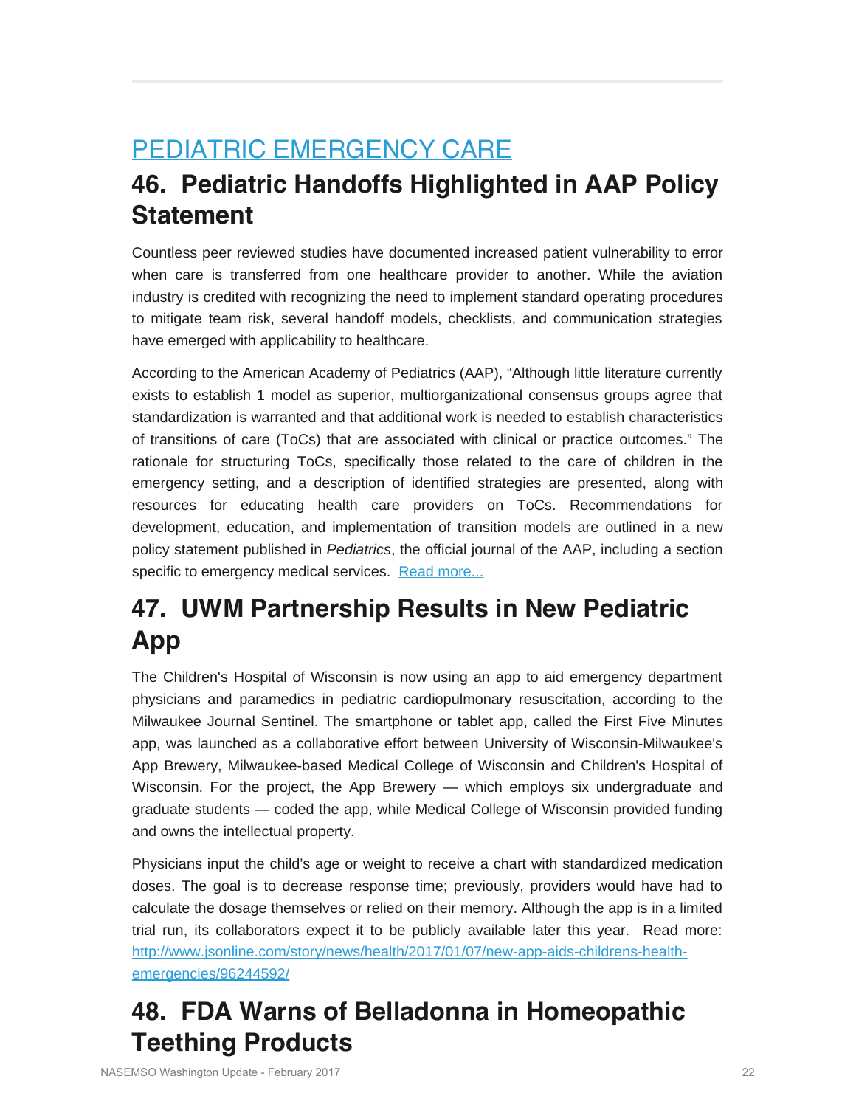## <span id="page-21-0"></span>PEDIATRIC EMERGENCY CARE

## **46. Pediatric Handoffs Highlighted in AAP Policy Statement**

Countless peer reviewed studies have documented increased patient vulnerability to error when care is transferred from one healthcare provider to another. While the aviation industry is credited with recognizing the need to implement standard operating procedures to mitigate team risk, several handoff models, checklists, and communication strategies have emerged with applicability to healthcare.

According to the American Academy of Pediatrics (AAP), "Although little literature currently exists to establish 1 model as superior, multiorganizational consensus groups agree that standardization is warranted and that additional work is needed to establish characteristics of transitions of care (ToCs) that are associated with clinical or practice outcomes." The rationale for structuring ToCs, specifically those related to the care of children in the emergency setting, and a description of identified strategies are presented, along with resources for educating health care providers on ToCs. Recommendations for development, education, and implementation of transition models are outlined in a new policy statement published in *Pediatrics*, the official journal of the AAP, including a section specific to emergency medical services. [Read more...](https://pediatrics.aappublications.org/content/early/2016/10/27/peds.2016-2680)

## **47. UWM Partnership Results in New Pediatric App**

The Children's Hospital of Wisconsin is now using an app to aid emergency department physicians and paramedics in pediatric cardiopulmonary resuscitation, according to the Milwaukee Journal Sentinel. The smartphone or tablet app, called the First Five Minutes app, was launched as a collaborative effort between University of Wisconsin-Milwaukee's App Brewery, Milwaukee-based Medical College of Wisconsin and Children's Hospital of Wisconsin. For the project, the App Brewery — which employs six undergraduate and graduate students — coded the app, while Medical College of Wisconsin provided funding and owns the intellectual property.

Physicians input the child's age or weight to receive a chart with standardized medication doses. The goal is to decrease response time; previously, providers would have had to calculate the dosage themselves or relied on their memory. Although the app is in a limited trial run, its collaborators expect it to be publicly available later this year. Read more: [http://www.jsonline.com/story/news/health/2017/01/07/new-app-aids-childrens-health](http://www.jsonline.com/story/news/health/2017/01/07/new-app-aids-childrens-health-emergencies/96244592/)[emergencies/96244592/](http://www.jsonline.com/story/news/health/2017/01/07/new-app-aids-childrens-health-emergencies/96244592/)

## **48. FDA Warns of Belladonna in Homeopathic Teething Products**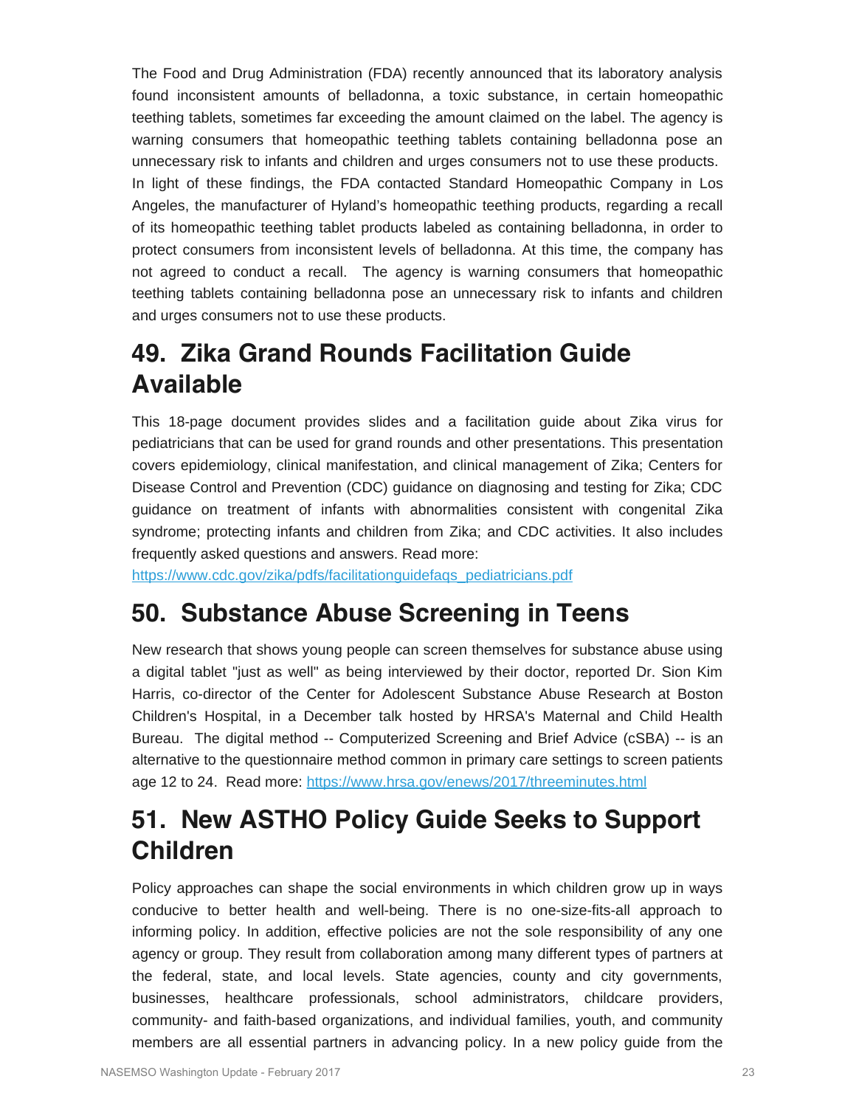The Food and Drug Administration (FDA) recently announced that its laboratory analysis found inconsistent amounts of belladonna, a toxic substance, in certain homeopathic teething tablets, sometimes far exceeding the amount claimed on the label. The agency is warning consumers that homeopathic teething tablets containing belladonna pose an unnecessary risk to infants and children and urges consumers not to use these products. In light of these findings, the FDA contacted Standard Homeopathic Company in Los Angeles, the manufacturer of Hyland's homeopathic teething products, regarding a recall of its homeopathic teething tablet products labeled as containing belladonna, in order to protect consumers from inconsistent levels of belladonna. At this time, the company has not agreed to conduct a recall. The agency is warning consumers that homeopathic teething tablets containing belladonna pose an unnecessary risk to infants and children and urges consumers not to use these products.

## **49. Zika Grand Rounds Facilitation Guide Available**

This 18-page document provides slides and a facilitation guide about Zika virus for pediatricians that can be used for grand rounds and other presentations. This presentation covers epidemiology, clinical manifestation, and clinical management of Zika; Centers for Disease Control and Prevention (CDC) guidance on diagnosing and testing for Zika; CDC guidance on treatment of infants with abnormalities consistent with congenital Zika syndrome; protecting infants and children from Zika; and CDC activities. It also includes frequently asked questions and answers. Read more:

https://www.cdc.gov/zika/pdfs/facilitationguidefags\_pediatricians.pdf

### **50. Substance Abuse Screening in Teens**

New research that shows young people can screen themselves for substance abuse using a digital tablet "just as well" as being interviewed by their doctor, reported Dr. Sion Kim Harris, co-director of the Center for Adolescent Substance Abuse Research at Boston Children's Hospital, in a December talk hosted by HRSA's Maternal and Child Health Bureau. The digital method -- Computerized Screening and Brief Advice (cSBA) -- is an alternative to the questionnaire method common in primary care settings to screen patients age 12 to 24. Read more:<https://www.hrsa.gov/enews/2017/threeminutes.html>

## **51. New ASTHO Policy Guide Seeks to Support Children**

Policy approaches can shape the social environments in which children grow up in ways conducive to better health and well-being. There is no one-size-fits-all approach to informing policy. In addition, effective policies are not the sole responsibility of any one agency or group. They result from collaboration among many different types of partners at the federal, state, and local levels. State agencies, county and city governments, businesses, healthcare professionals, school administrators, childcare providers, community- and faith-based organizations, and individual families, youth, and community members are all essential partners in advancing policy. In a new policy guide from the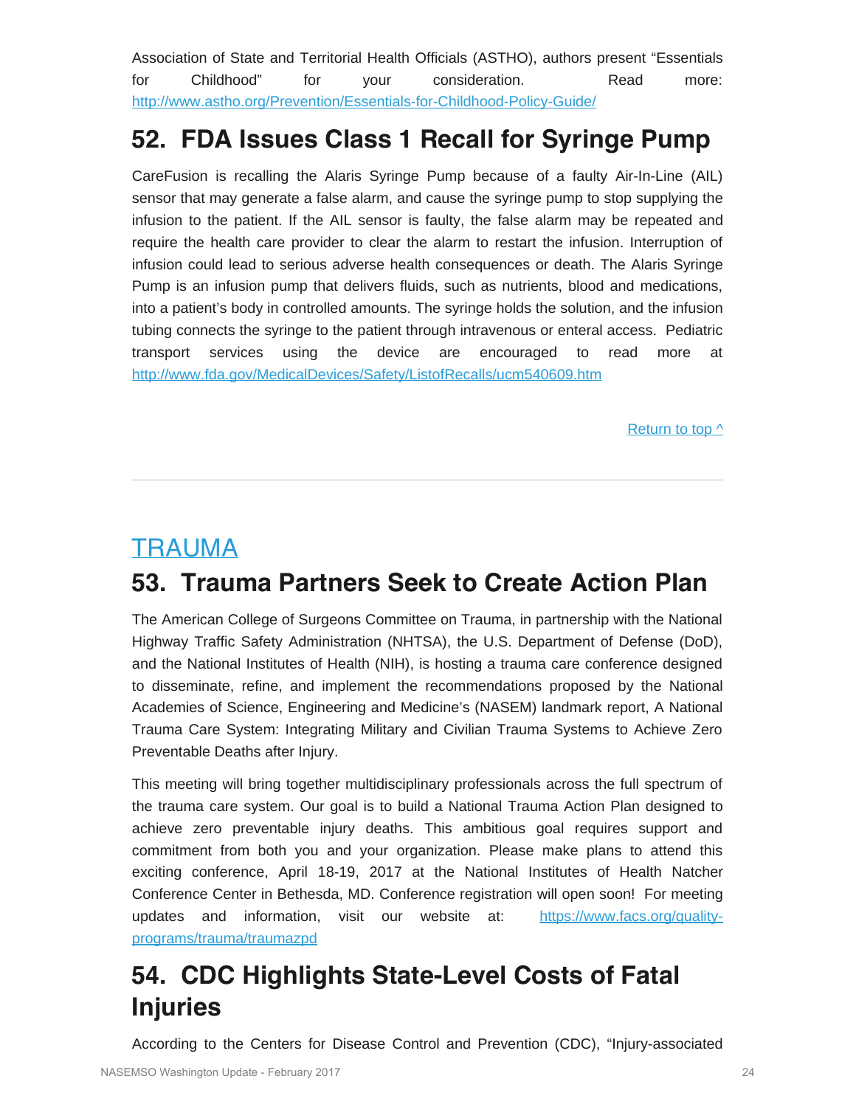Association of State and Territorial Health Officials (ASTHO), authors present "Essentials for Childhood" for your consideration. Read more: <http://www.astho.org/Prevention/Essentials-for-Childhood-Policy-Guide/>

## **52. FDA Issues Class 1 Recall for Syringe Pump**

CareFusion is recalling the Alaris Syringe Pump because of a faulty Air-In-Line (AIL) sensor that may generate a false alarm, and cause the syringe pump to stop supplying the infusion to the patient. If the AIL sensor is faulty, the false alarm may be repeated and require the health care provider to clear the alarm to restart the infusion. Interruption of infusion could lead to serious adverse health consequences or death. The Alaris Syringe Pump is an infusion pump that delivers fluids, such as nutrients, blood and medications, into a patient's body in controlled amounts. The syringe holds the solution, and the infusion tubing connects the syringe to the patient through intravenous or enteral access. Pediatric transport services using the device are encouraged to read more at <http://www.fda.gov/MedicalDevices/Safety/ListofRecalls/ucm540609.htm>

[Return to top ^](#page-0-1)

## <span id="page-23-0"></span>TRAUMA

## **53. Trauma Partners Seek to Create Action Plan**

The American College of Surgeons Committee on Trauma, in partnership with the National Highway Traffic Safety Administration (NHTSA), the U.S. Department of Defense (DoD), and the National Institutes of Health (NIH), is hosting a trauma care conference designed to disseminate, refine, and implement the recommendations proposed by the National Academies of Science, Engineering and Medicine's (NASEM) landmark report, A National Trauma Care System: Integrating Military and Civilian Trauma Systems to Achieve Zero Preventable Deaths after Injury.

This meeting will bring together multidisciplinary professionals across the full spectrum of the trauma care system. Our goal is to build a National Trauma Action Plan designed to achieve zero preventable injury deaths. This ambitious goal requires support and commitment from both you and your organization. Please make plans to attend this exciting conference, April 18-19, 2017 at the National Institutes of Health Natcher Conference Center in Bethesda, MD. Conference registration will open soon! For meeting updates and information, visit our website at: [https://www.facs.org/quality](https://www.facs.org/quality-programs/trauma/traumazpd)[programs/trauma/traumazpd](https://www.facs.org/quality-programs/trauma/traumazpd)

## **54. CDC Highlights State-Level Costs of Fatal Injuries**

According to the Centers for Disease Control and Prevention (CDC), "Injury-associated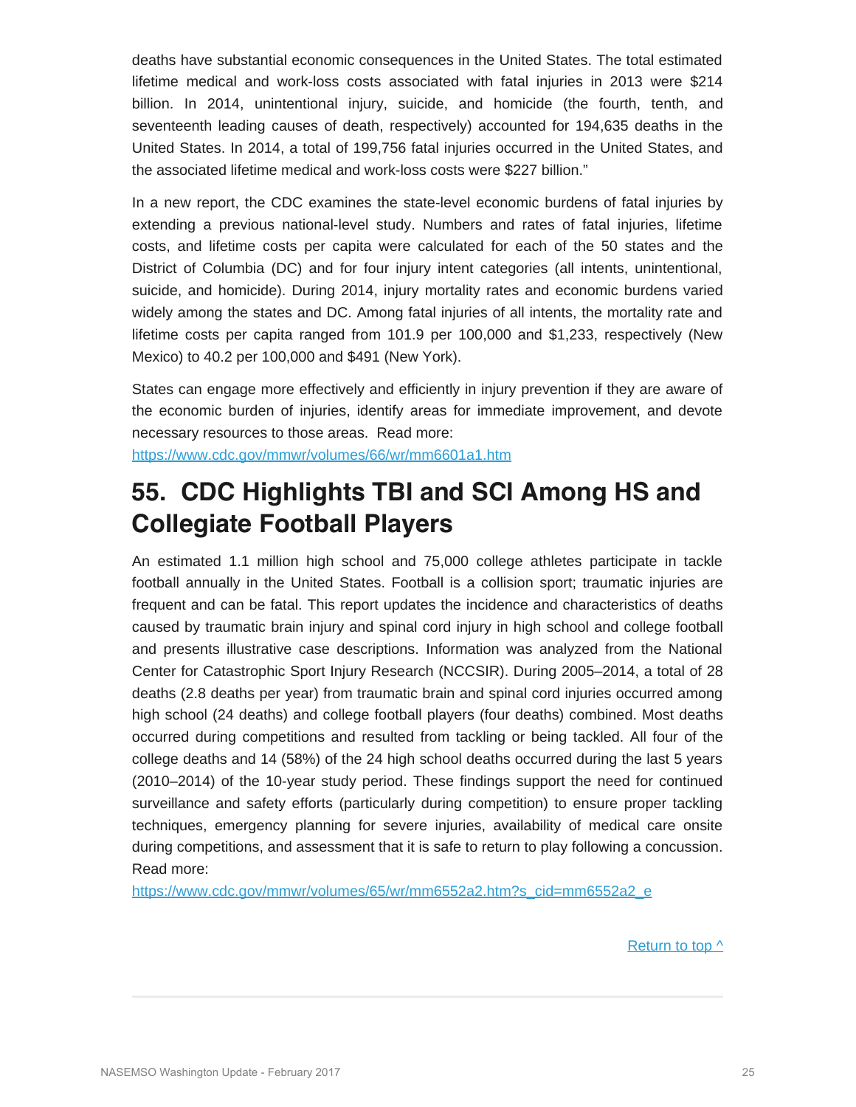deaths have substantial economic consequences in the United States. The total estimated lifetime medical and work-loss costs associated with fatal injuries in 2013 were \$214 billion. In 2014, unintentional injury, suicide, and homicide (the fourth, tenth, and seventeenth leading causes of death, respectively) accounted for 194,635 deaths in the United States. In 2014, a total of 199,756 fatal injuries occurred in the United States, and the associated lifetime medical and work-loss costs were \$227 billion."

In a new report, the CDC examines the state-level economic burdens of fatal injuries by extending a previous national-level study. Numbers and rates of fatal injuries, lifetime costs, and lifetime costs per capita were calculated for each of the 50 states and the District of Columbia (DC) and for four injury intent categories (all intents, unintentional, suicide, and homicide). During 2014, injury mortality rates and economic burdens varied widely among the states and DC. Among fatal injuries of all intents, the mortality rate and lifetime costs per capita ranged from 101.9 per 100,000 and \$1,233, respectively (New Mexico) to 40.2 per 100,000 and \$491 (New York).

States can engage more effectively and efficiently in injury prevention if they are aware of the economic burden of injuries, identify areas for immediate improvement, and devote necessary resources to those areas. Read more:

<https://www.cdc.gov/mmwr/volumes/66/wr/mm6601a1.htm>

## **55. CDC Highlights TBI and SCI Among HS and Collegiate Football Players**

An estimated 1.1 million high school and 75,000 college athletes participate in tackle football annually in the United States. Football is a collision sport; traumatic injuries are frequent and can be fatal. This report updates the incidence and characteristics of deaths caused by traumatic brain injury and spinal cord injury in high school and college football and presents illustrative case descriptions. Information was analyzed from the National Center for Catastrophic Sport Injury Research (NCCSIR). During 2005–2014, a total of 28 deaths (2.8 deaths per year) from traumatic brain and spinal cord injuries occurred among high school (24 deaths) and college football players (four deaths) combined. Most deaths occurred during competitions and resulted from tackling or being tackled. All four of the college deaths and 14 (58%) of the 24 high school deaths occurred during the last 5 years (2010–2014) of the 10-year study period. These findings support the need for continued surveillance and safety efforts (particularly during competition) to ensure proper tackling techniques, emergency planning for severe injuries, availability of medical care onsite during competitions, and assessment that it is safe to return to play following a concussion. Read more:

[https://www.cdc.gov/mmwr/volumes/65/wr/mm6552a2.htm?s\\_cid=mm6552a2\\_e](https://www.cdc.gov/mmwr/volumes/65/wr/mm6552a2.htm?s_cid=mm6552a2_e)

[Return to top ^](#page-0-1)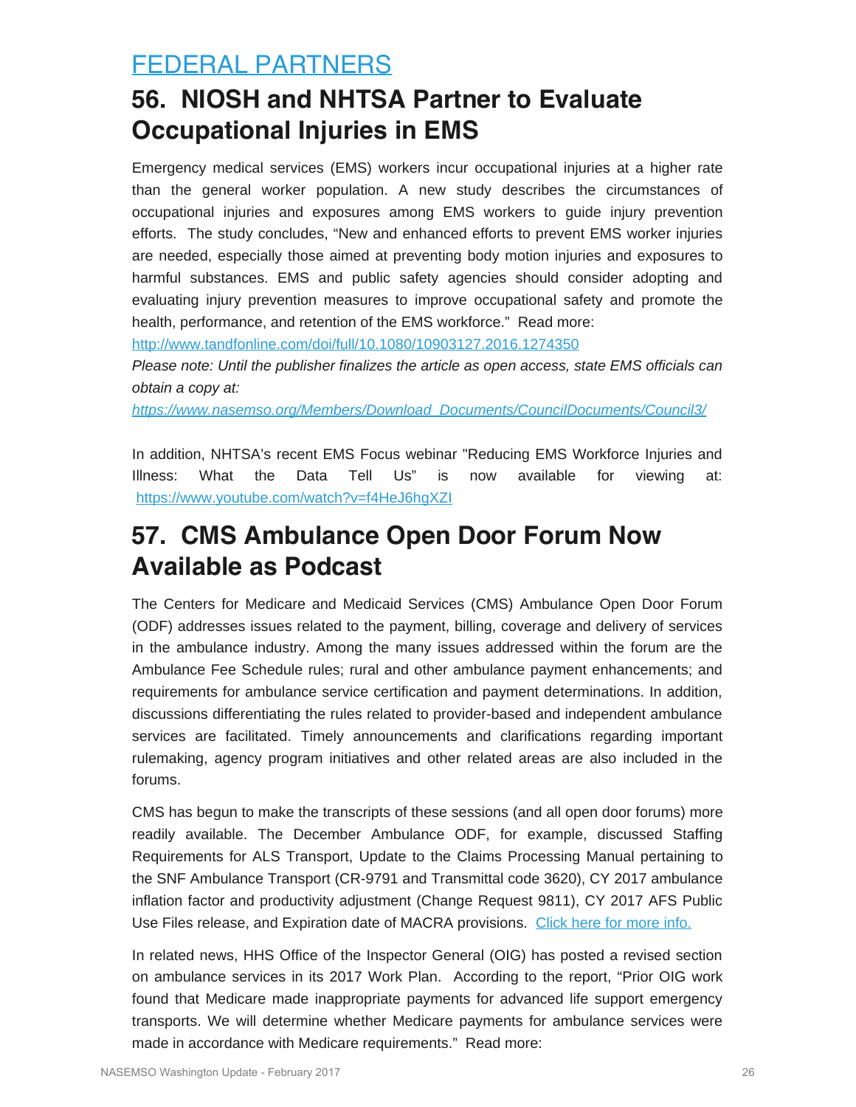## <span id="page-25-0"></span>FEDERAL PARTNERS

## **56. NIOSH and NHTSA Partner to Evaluate Occupational Injuries in EMS**

Emergency medical services (EMS) workers incur occupational injuries at a higher rate than the general worker population. A new study describes the circumstances of occupational injuries and exposures among EMS workers to guide injury prevention efforts. The study concludes, "New and enhanced efforts to prevent EMS worker injuries are needed, especially those aimed at preventing body motion injuries and exposures to harmful substances. EMS and public safety agencies should consider adopting and evaluating injury prevention measures to improve occupational safety and promote the health, performance, and retention of the EMS workforce." Read more:

<http://www.tandfonline.com/doi/full/10.1080/10903127.2016.1274350>

*Please note: Until the publisher finalizes the article as open access, state EMS officials can obtain a copy at:*

*[https://www.nasemso.org/Members/Download\\_Documents/CouncilDocuments/Council3/](https://www.nasemso.org/Members/Download_Documents/CouncilDocuments/Council3/)*

In addition, NHTSA's recent EMS Focus webinar "Reducing EMS Workforce Injuries and Illness: What the Data Tell Us" is now available for viewing at: <https://www.youtube.com/watch?v=f4HeJ6hgXZI>

## **57. CMS Ambulance Open Door Forum Now Available as Podcast**

The Centers for Medicare and Medicaid Services (CMS) Ambulance Open Door Forum (ODF) addresses issues related to the payment, billing, coverage and delivery of services in the ambulance industry. Among the many issues addressed within the forum are the Ambulance Fee Schedule rules; rural and other ambulance payment enhancements; and requirements for ambulance service certification and payment determinations. In addition, discussions differentiating the rules related to provider-based and independent ambulance services are facilitated. Timely announcements and clarifications regarding important rulemaking, agency program initiatives and other related areas are also included in the forums.

CMS has begun to make the transcripts of these sessions (and all open door forums) more readily available. The December Ambulance ODF, for example, discussed Staffing Requirements for ALS Transport, Update to the Claims Processing Manual pertaining to the SNF Ambulance Transport (CR-9791 and Transmittal code 3620), CY 2017 ambulance inflation factor and productivity adjustment (Change Request 9811), CY 2017 AFS Public Use Files release, and Expiration date of MACRA provisions. [Click here for more info.](https://www.cms.gov/Outreach-and-Education/Outreach/OpenDoorForums/PodcastAndTranscripts.html)

In related news, HHS Office of the Inspector General (OIG) has posted a revised section on ambulance services in its 2017 Work Plan. According to the report, "Prior OIG work found that Medicare made inappropriate payments for advanced life support emergency transports. We will determine whether Medicare payments for ambulance services were made in accordance with Medicare requirements." Read more: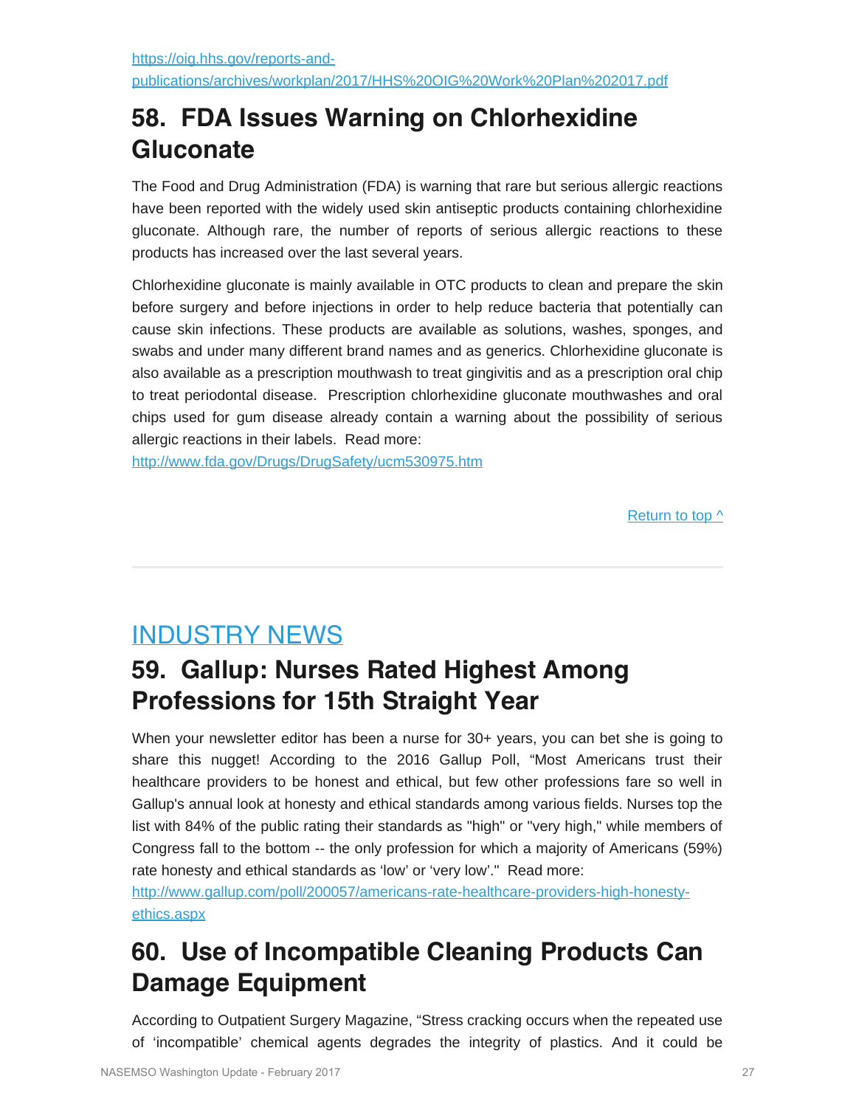## **58. FDA Issues Warning on Chlorhexidine Gluconate**

The Food and Drug Administration (FDA) is warning that rare but serious allergic reactions have been reported with the widely used skin antiseptic products containing chlorhexidine gluconate. Although rare, the number of reports of serious allergic reactions to these products has increased over the last several years.

Chlorhexidine gluconate is mainly available in OTC products to clean and prepare the skin before surgery and before injections in order to help reduce bacteria that potentially can cause skin infections. These products are available as solutions, washes, sponges, and swabs and under many different brand names and as generics. Chlorhexidine gluconate is also available as a prescription mouthwash to treat gingivitis and as a prescription oral chip to treat periodontal disease. Prescription chlorhexidine gluconate mouthwashes and oral chips used for gum disease already contain a warning about the possibility of serious allergic reactions in their labels. Read more:

<http://www.fda.gov/Drugs/DrugSafety/ucm530975.htm>

Return to top  $\wedge$ 

## <span id="page-26-0"></span>INDUSTRY NEWS

## **59. Gallup: Nurses Rated Highest Among Professions for 15th Straight Year**

When your newsletter editor has been a nurse for 30+ years, you can bet she is going to share this nugget! According to the 2016 Gallup Poll, "Most Americans trust their healthcare providers to be honest and ethical, but few other professions fare so well in Gallup's annual look at honesty and ethical standards among various fields. Nurses top the list with 84% of the public rating their standards as "high" or "very high," while members of Congress fall to the bottom -- the only profession for which a majority of Americans (59%) rate honesty and ethical standards as 'low' or 'very low'." Read more:

[http://www.gallup.com/poll/200057/americans-rate-healthcare-providers-high-honesty](http://www.gallup.com/poll/200057/americans-rate-healthcare-providers-high-honesty-ethics.aspx)[ethics.aspx](http://www.gallup.com/poll/200057/americans-rate-healthcare-providers-high-honesty-ethics.aspx)

## **60. Use of Incompatible Cleaning Products Can Damage Equipment**

According to Outpatient Surgery Magazine, "Stress cracking occurs when the repeated use of 'incompatible' chemical agents degrades the integrity of plastics. And it could be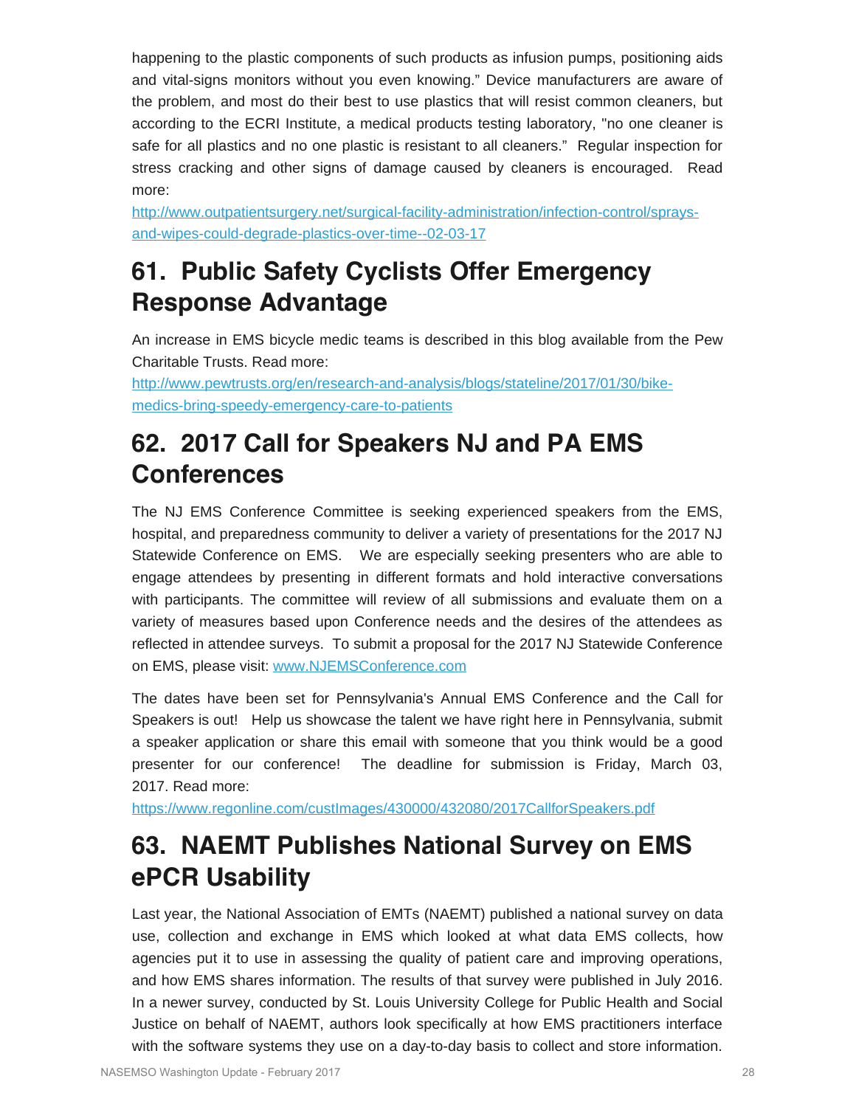happening to the plastic components of such products as infusion pumps, positioning aids and vital-signs monitors without you even knowing." Device manufacturers are aware of the problem, and most do their best to use plastics that will resist common cleaners, but according to the ECRI Institute, a medical products testing laboratory, "no one cleaner is safe for all plastics and no one plastic is resistant to all cleaners." Regular inspection for stress cracking and other signs of damage caused by cleaners is encouraged. Read more:

[http://www.outpatientsurgery.net/surgical-facility-administration/infection-control/sprays](http://www.outpatientsurgery.net/surgical-facility-administration/infection-control/sprays-and-wipes-could-degrade-plastics-over-time--02-03-17)[and-wipes-could-degrade-plastics-over-time--02-03-17](http://www.outpatientsurgery.net/surgical-facility-administration/infection-control/sprays-and-wipes-could-degrade-plastics-over-time--02-03-17)

## **61. Public Safety Cyclists Offer Emergency Response Advantage**

An increase in EMS bicycle medic teams is described in this blog available from the Pew Charitable Trusts. Read more:

[http://www.pewtrusts.org/en/research-and-analysis/blogs/stateline/2017/01/30/bike](http://www.pewtrusts.org/en/research-and-analysis/blogs/stateline/2017/01/30/bike-medics-bring-speedy-emergency-care-to-patients)[medics-bring-speedy-emergency-care-to-patients](http://www.pewtrusts.org/en/research-and-analysis/blogs/stateline/2017/01/30/bike-medics-bring-speedy-emergency-care-to-patients)

## **62. 2017 Call for Speakers NJ and PA EMS Conferences**

The NJ EMS Conference Committee is seeking experienced speakers from the EMS, hospital, and preparedness community to deliver a variety of presentations for the 2017 NJ Statewide Conference on EMS. We are especially seeking presenters who are able to engage attendees by presenting in different formats and hold interactive conversations with participants. The committee will review of all submissions and evaluate them on a variety of measures based upon Conference needs and the desires of the attendees as reflected in attendee surveys. To submit a proposal for the 2017 NJ Statewide Conference on EMS, please visit: [www.NJEMSConference.com](http://r20.rs6.net/tn.jsp?f=001pdM403OwYj5qxK4RvlQcITsOGvPbqLerwatuD7u17W3uj0YbeJixwDIIxiGfdxftd8Z3xpDqL_ZnEzHyBck39j8yuVKaUm4D4zE8ercZi0HlndKZYwRJxquyemo_OyP8IY5-_EUQWZzmYzsQT9A6vYD5XKSquAkAy-TBTI17VnnbJqVTV_WfAw==&c=JkROLrjket0vgKBkPhdmryBeKUBbYbrDx1ffMwpAMpLeyxNvQMBxmQ==&ch=XBBUdFZSSxsB5UWaPqG5Tz6KUhWK8ZLKY--g2NwWIxCKVOpuvd8Dfw==)

The dates have been set for Pennsylvania's Annual EMS Conference and the Call for Speakers is out! Help us showcase the talent we have right here in Pennsylvania, submit a speaker application or share this email with someone that you think would be a good presenter for our conference! The deadline for submission is Friday, March 03, 2017. Read more:

<https://www.regonline.com/custImages/430000/432080/2017CallforSpeakers.pdf>

## **63. NAEMT Publishes National Survey on EMS ePCR Usability**

Last year, the National Association of EMTs (NAEMT) published a national survey on data use, collection and exchange in EMS which looked at what data EMS collects, how agencies put it to use in assessing the quality of patient care and improving operations, and how EMS shares information. The results of that survey were published in July 2016. In a newer survey, conducted by St. Louis University College for Public Health and Social Justice on behalf of NAEMT, authors look specifically at how EMS practitioners interface with the software systems they use on a day-to-day basis to collect and store information.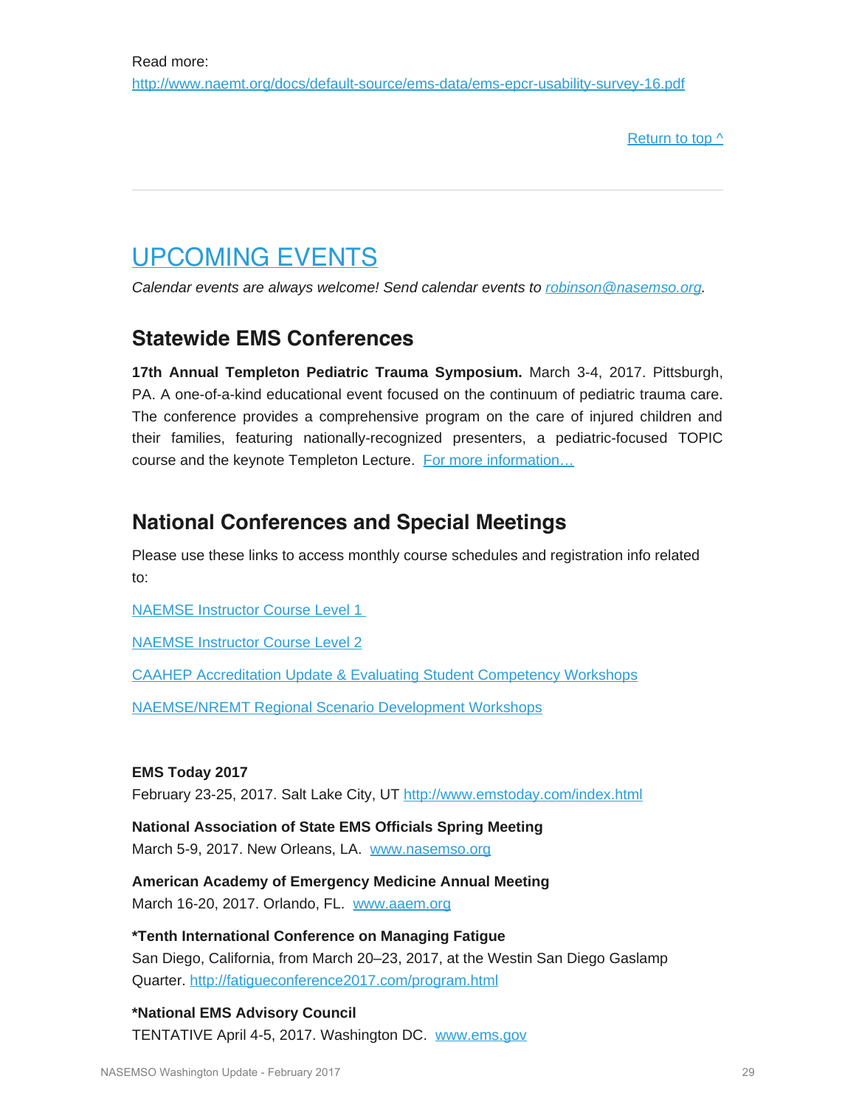[Return to top ^](#page-0-1)

## <span id="page-28-0"></span>UPCOMING EVENTS

*Calendar events are always welcome! Send calendar events to [robinson@nasemso.org](mailto:robinson@nasemso.org).*

### **Statewide EMS Conferences**

**17th Annual Templeton Pediatric Trauma Symposium.** March 3-4, 2017. Pittsburgh, PA. A one-of-a-kind educational event focused on the continuum of pediatric trauma care. The conference provides a comprehensive program on the care of injured children and their families, featuring nationally-recognized presenters, a pediatric-focused TOPIC course and the keynote Templeton Lecture. [For more information…](http://www.chop.edu/events/templeton-trauma-symposium-2017#.V9czrYVUlCM)

### **National Conferences and Special Meetings**

Please use these links to access monthly course schedules and registration info related to:

[NAEMSE Instructor Course Level 1](http://naemse.org/?page=LVL1InstructorCourse)

[NAEMSE Instructor Course Level 2](http://naemse.org/?page=LVL2InstructorCourse)

[CAAHEP Accreditation Update & Evaluating Student Competency Workshops](http://naemse.org/?page=coaemsp)

[NAEMSE/NREMT Regional Scenario Development Workshops](http://naemse.org/?page=nremt)

### **EMS Today 2017**

February 23-25, 2017. Salt Lake City, UT <http://www.emstoday.com/index.html>

**National Association of State EMS Officials Spring Meeting** March 5-9, 2017. New Orleans, LA. [www.nasemso.org](http://www.nasemso.org/)

**American Academy of Emergency Medicine Annual Meeting** March 16-20, 2017. Orlando, FL. [www.aaem.org](http://www.aaem.org/)

**\*Tenth International Conference on Managing Fatigue** San Diego, California, from March 20–23, 2017, at the Westin San Diego Gaslamp Quarter. <http://fatigueconference2017.com/program.html>

**\*National EMS Advisory Council** TENTATIVE April 4-5, 2017. Washington DC. [www.ems.gov](http://www.ems.gov/)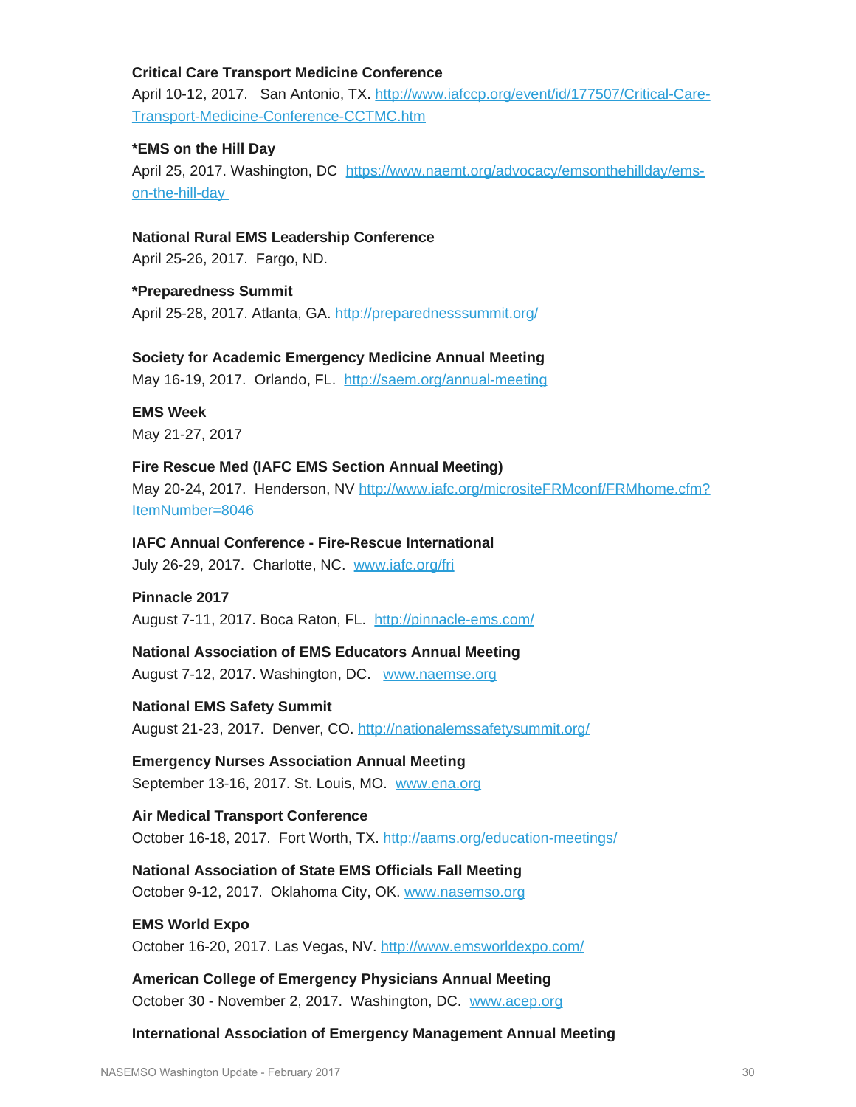### **Critical Care Transport Medicine Conference**

April 10-12, 2017. San Antonio, TX. [http://www.iafccp.org/event/id/177507/Critical-Care-](http://www.iafccp.org/event/id/177507/Critical-Care-Transport-Medicine-Conference-CCTMC.htm)[Transport-Medicine-Conference-CCTMC.htm](http://www.iafccp.org/event/id/177507/Critical-Care-Transport-Medicine-Conference-CCTMC.htm)

### **\*EMS on the Hill Day**

April 25, 2017. Washington, DC [https://www.naemt.org/advocacy/emsonthehillday/ems](https://www.naemt.org/advocacy/emsonthehillday/ems-on-the-hill-day)[on-the-hill-day](https://www.naemt.org/advocacy/emsonthehillday/ems-on-the-hill-day)

### **National Rural EMS Leadership Conference**

April 25-26, 2017. Fargo, ND.

**\*Preparedness Summit** April 25-28, 2017. Atlanta, GA.<http://preparednesssummit.org/>

**Society for Academic Emergency Medicine Annual Meeting**

May 16-19, 2017. Orlando, FL. <http://saem.org/annual-meeting>

**EMS Week** May 21-27, 2017

**Fire Rescue Med (IAFC EMS Section Annual Meeting)** May 20-24, 2017. Henderson, NV [http://www.iafc.org/micrositeFRMconf/FRMhome.cfm?](http://www.iafc.org/micrositeFRMconf/FRMhome.cfm?ItemNumber=8046) [ItemNumber=8046](http://www.iafc.org/micrositeFRMconf/FRMhome.cfm?ItemNumber=8046)

**IAFC Annual Conference - Fire-Rescue International** July 26-29, 2017. Charlotte, NC. [www.iafc.org/fri](http://www.iafc.org/fri)

### **Pinnacle 2017**

August 7-11, 2017. Boca Raton, FL. <http://pinnacle-ems.com/>

**National Association of EMS Educators Annual Meeting** August 7-12, 2017. Washington, DC. [www.naemse.org](http://www.naemse.org/)

**National EMS Safety Summit** August 21-23, 2017. Denver, CO.<http://nationalemssafetysummit.org/>

**Emergency Nurses Association Annual Meeting** September 13-16, 2017. St. Louis, MO. [www.ena.org](http://www.ena.org/)

**Air Medical Transport Conference** October 16-18, 2017. Fort Worth, TX.<http://aams.org/education-meetings/>

**National Association of State EMS Officials Fall Meeting** October 9-12, 2017. Oklahoma City, OK. [www.nasemso.org](http://www.nasemso.org/)

**EMS World Expo** October 16-20, 2017. Las Vegas, NV. <http://www.emsworldexpo.com/>

**American College of Emergency Physicians Annual Meeting** October 30 - November 2, 2017. Washington, DC. [www.acep.org](http://www.acep.org/)

**International Association of Emergency Management Annual Meeting**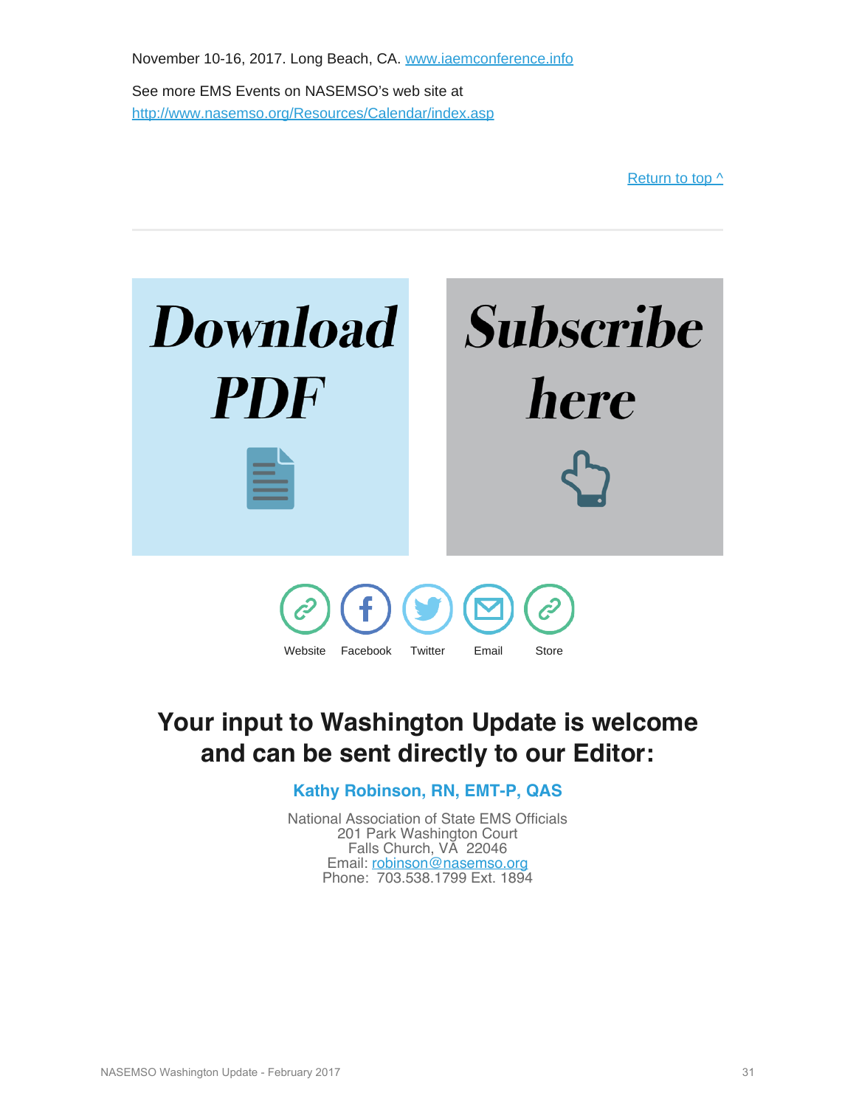November 10-16, 2017. Long Beach, CA. [www.iaemconference.info](http://www.iaemconference.info/) See more EMS Events on NASEMSO's web site at <http://www.nasemso.org/Resources/Calendar/index.asp>



## <span id="page-30-0"></span>**Your input to Washington Update is welcome and can be sent directly to our Editor:**

**Kathy Robinson, RN, EMT-P, QAS**

National Association of State EMS Officials 201 Park Washington Court Falls Church, VA 22046 Email: [robinson@nasemso.org](mailto:robinson@nasemso.org) Phone: 703.538.1799 Ext. 1894